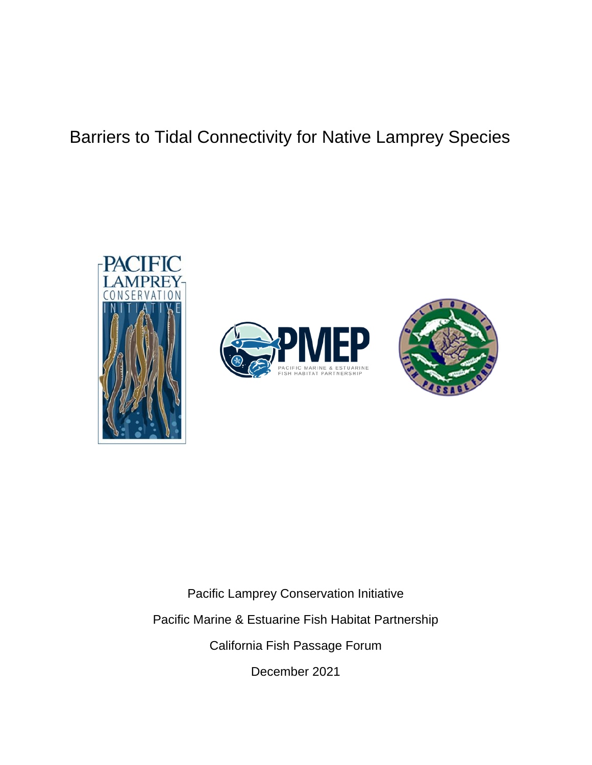# Barriers to Tidal Connectivity for Native Lamprey Species







Pacific Lamprey Conservation Initiative Pacific Marine & Estuarine Fish Habitat Partnership California Fish Passage Forum

December 2021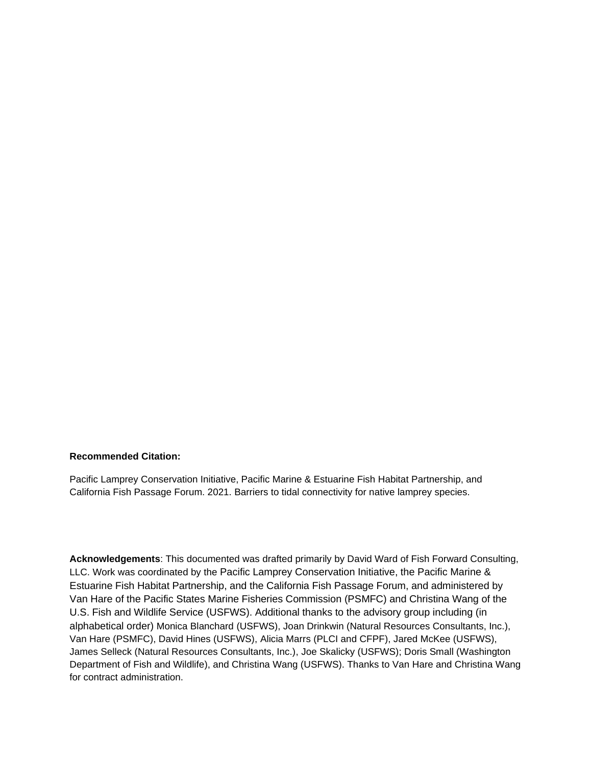#### **Recommended Citation:**

Pacific Lamprey Conservation Initiative, Pacific Marine & Estuarine Fish Habitat Partnership, and California Fish Passage Forum. 2021. Barriers to tidal connectivity for native lamprey species.

**Acknowledgements**: This documented was drafted primarily by David Ward of Fish Forward Consulting, LLC. Work was coordinated by the Pacific Lamprey Conservation Initiative, the Pacific Marine & Estuarine Fish Habitat Partnership, and the California Fish Passage Forum, and administered by Van Hare of the Pacific States Marine Fisheries Commission (PSMFC) and Christina Wang of the U.S. Fish and Wildlife Service (USFWS). Additional thanks to the advisory group including (in alphabetical order) Monica Blanchard (USFWS), Joan Drinkwin (Natural Resources Consultants, Inc.), Van Hare (PSMFC), David Hines (USFWS), Alicia Marrs (PLCI and CFPF), Jared McKee (USFWS), James Selleck (Natural Resources Consultants, Inc.), Joe Skalicky (USFWS); Doris Small (Washington Department of Fish and Wildlife), and Christina Wang (USFWS). Thanks to Van Hare and Christina Wang for contract administration.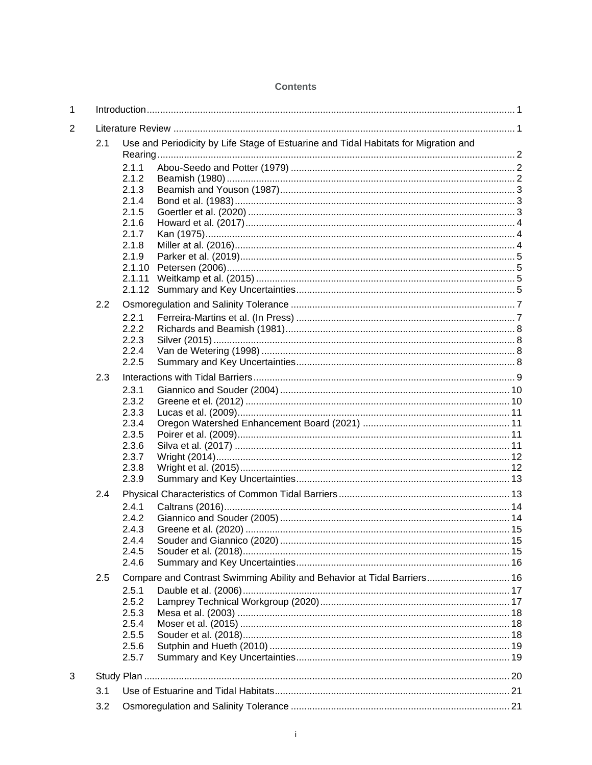| 1              |     |                                                                                     |                                                                         |  |  |  |  |  |  |  |
|----------------|-----|-------------------------------------------------------------------------------------|-------------------------------------------------------------------------|--|--|--|--|--|--|--|
| $\overline{c}$ |     |                                                                                     |                                                                         |  |  |  |  |  |  |  |
|                | 2.1 | Use and Periodicity by Life Stage of Estuarine and Tidal Habitats for Migration and |                                                                         |  |  |  |  |  |  |  |
|                |     | 2.1.1                                                                               |                                                                         |  |  |  |  |  |  |  |
|                |     | 2.1.2<br>2.1.3                                                                      |                                                                         |  |  |  |  |  |  |  |
|                |     | 2.1.4                                                                               |                                                                         |  |  |  |  |  |  |  |
|                |     | 2.1.5                                                                               |                                                                         |  |  |  |  |  |  |  |
|                |     | 2.1.6                                                                               |                                                                         |  |  |  |  |  |  |  |
|                |     | 2.1.7                                                                               |                                                                         |  |  |  |  |  |  |  |
|                |     | 2.1.8<br>2.1.9                                                                      |                                                                         |  |  |  |  |  |  |  |
|                |     | 2.1.10                                                                              |                                                                         |  |  |  |  |  |  |  |
|                |     | 2.1.11                                                                              |                                                                         |  |  |  |  |  |  |  |
|                |     | 2.1.12                                                                              |                                                                         |  |  |  |  |  |  |  |
|                | 2.2 |                                                                                     |                                                                         |  |  |  |  |  |  |  |
|                |     | 2.2.1                                                                               |                                                                         |  |  |  |  |  |  |  |
|                |     | 2.2.2                                                                               |                                                                         |  |  |  |  |  |  |  |
|                |     | 2.2.3<br>2.2.4                                                                      |                                                                         |  |  |  |  |  |  |  |
|                |     | 2.2.5                                                                               |                                                                         |  |  |  |  |  |  |  |
|                | 2.3 |                                                                                     |                                                                         |  |  |  |  |  |  |  |
|                |     | 2.3.1                                                                               |                                                                         |  |  |  |  |  |  |  |
|                |     | 2.3.2                                                                               |                                                                         |  |  |  |  |  |  |  |
|                |     | 2.3.3                                                                               |                                                                         |  |  |  |  |  |  |  |
|                |     | 2.3.4                                                                               |                                                                         |  |  |  |  |  |  |  |
|                |     | 2.3.5<br>2.3.6                                                                      |                                                                         |  |  |  |  |  |  |  |
|                |     | 2.3.7                                                                               |                                                                         |  |  |  |  |  |  |  |
|                |     | 2.3.8                                                                               |                                                                         |  |  |  |  |  |  |  |
|                |     | 2.3.9                                                                               |                                                                         |  |  |  |  |  |  |  |
|                | 2.4 |                                                                                     |                                                                         |  |  |  |  |  |  |  |
|                |     | 2.4.1                                                                               |                                                                         |  |  |  |  |  |  |  |
|                |     | 2.4.2                                                                               |                                                                         |  |  |  |  |  |  |  |
|                |     | 2.4.3<br>2.4.4                                                                      |                                                                         |  |  |  |  |  |  |  |
|                |     | 2.4.5                                                                               |                                                                         |  |  |  |  |  |  |  |
|                |     | 2.4.6                                                                               |                                                                         |  |  |  |  |  |  |  |
|                | 2.5 |                                                                                     | Compare and Contrast Swimming Ability and Behavior at Tidal Barriers 16 |  |  |  |  |  |  |  |
|                |     | 2.5.1                                                                               |                                                                         |  |  |  |  |  |  |  |
|                |     | 2.5.2                                                                               |                                                                         |  |  |  |  |  |  |  |
|                |     | 2.5.3<br>2.5.4                                                                      |                                                                         |  |  |  |  |  |  |  |
|                |     | 2.5.5                                                                               |                                                                         |  |  |  |  |  |  |  |
|                |     | 2.5.6                                                                               |                                                                         |  |  |  |  |  |  |  |
|                |     | 2.5.7                                                                               |                                                                         |  |  |  |  |  |  |  |
| 3              |     |                                                                                     |                                                                         |  |  |  |  |  |  |  |
|                | 3.1 |                                                                                     |                                                                         |  |  |  |  |  |  |  |
|                | 3.2 |                                                                                     |                                                                         |  |  |  |  |  |  |  |

#### **Contents**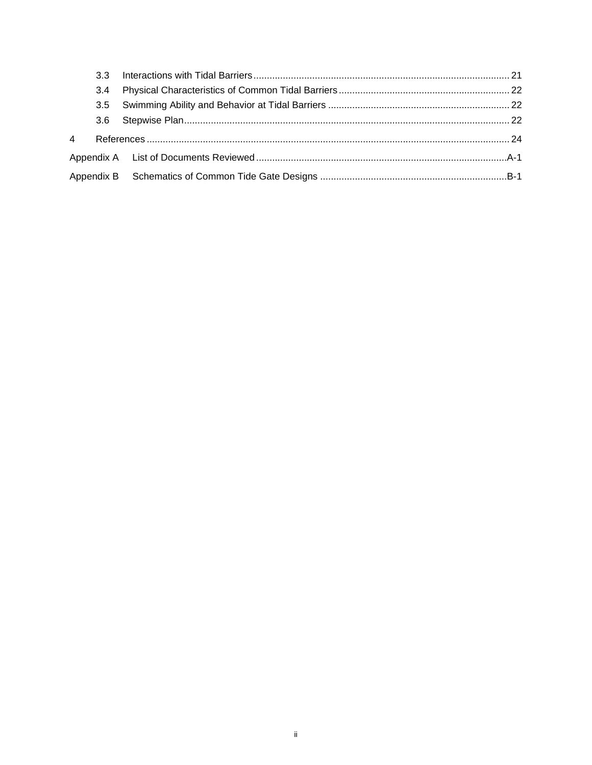|   | 3.4 |  |
|---|-----|--|
|   |     |  |
|   |     |  |
| 4 |     |  |
|   |     |  |
|   |     |  |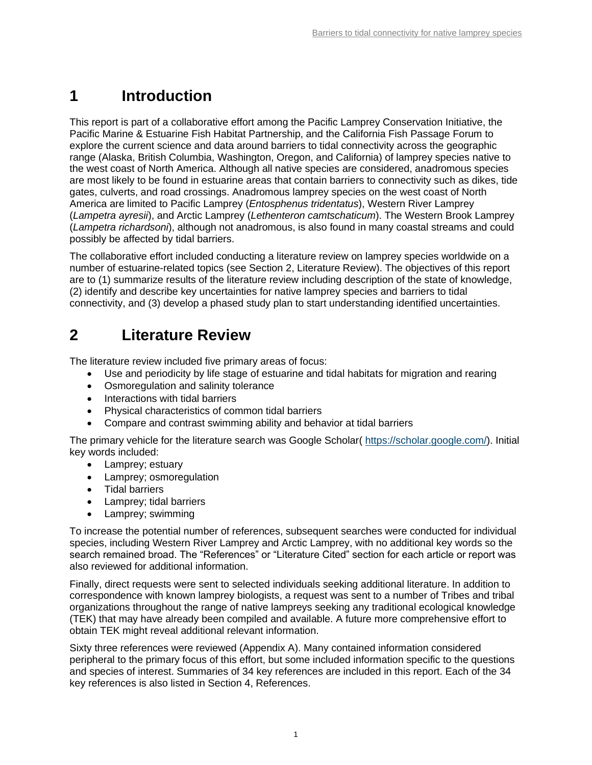# <span id="page-4-0"></span>**1 Introduction**

This report is part of a collaborative effort among the Pacific Lamprey Conservation Initiative, the Pacific Marine & Estuarine Fish Habitat Partnership, and the California Fish Passage Forum to explore the current science and data around barriers to tidal connectivity across the geographic range (Alaska, British Columbia, Washington, Oregon, and California) of lamprey species native to the west coast of North America. Although all native species are considered, anadromous species are most likely to be found in estuarine areas that contain barriers to connectivity such as dikes, tide gates, culverts, and road crossings. Anadromous lamprey species on the west coast of North America are limited to Pacific Lamprey (*Entosphenus tridentatus*), Western River Lamprey (*Lampetra ayresii*), and Arctic Lamprey (*Lethenteron camtschaticum*). The Western Brook Lamprey (*Lampetra richardsoni*), although not anadromous, is also found in many coastal streams and could possibly be affected by tidal barriers.

The collaborative effort included conducting a literature review on lamprey species worldwide on a number of estuarine-related topics (see Section [2,](#page-4-1) Literature Review). The objectives of this report are to (1) summarize results of the literature review including description of the state of knowledge, (2) identify and describe key uncertainties for native lamprey species and barriers to tidal connectivity, and (3) develop a phased study plan to start understanding identified uncertainties.

## <span id="page-4-1"></span>**2 Literature Review**

The literature review included five primary areas of focus:

- Use and periodicity by life stage of estuarine and tidal habitats for migration and rearing
- Osmoregulation and salinity tolerance
- Interactions with tidal barriers
- Physical characteristics of common tidal barriers
- Compare and contrast swimming ability and behavior at tidal barriers

The primary vehicle for the literature search was Google Scholar( [https://scholar.google.com/\)](https://scholar.google.com/). Initial key words included:

- Lamprey; estuary
- Lamprey; osmoregulation
- Tidal barriers
- Lamprey; tidal barriers
- Lamprey; swimming

To increase the potential number of references, subsequent searches were conducted for individual species, including Western River Lamprey and Arctic Lamprey, with no additional key words so the search remained broad. The "References" or "Literature Cited" section for each article or report was also reviewed for additional information.

Finally, direct requests were sent to selected individuals seeking additional literature. In addition to correspondence with known lamprey biologists, a request was sent to a number of Tribes and tribal organizations throughout the range of native lampreys seeking any traditional ecological knowledge (TEK) that may have already been compiled and available. A future more comprehensive effort to obtain TEK might reveal additional relevant information.

Sixty three references were reviewed (Appendix A). Many contained information considered peripheral to the primary focus of this effort, but some included information specific to the questions and species of interest. Summaries of 34 key references are included in this report. Each of the 34 key references is also listed in Section [4,](#page-27-0) References.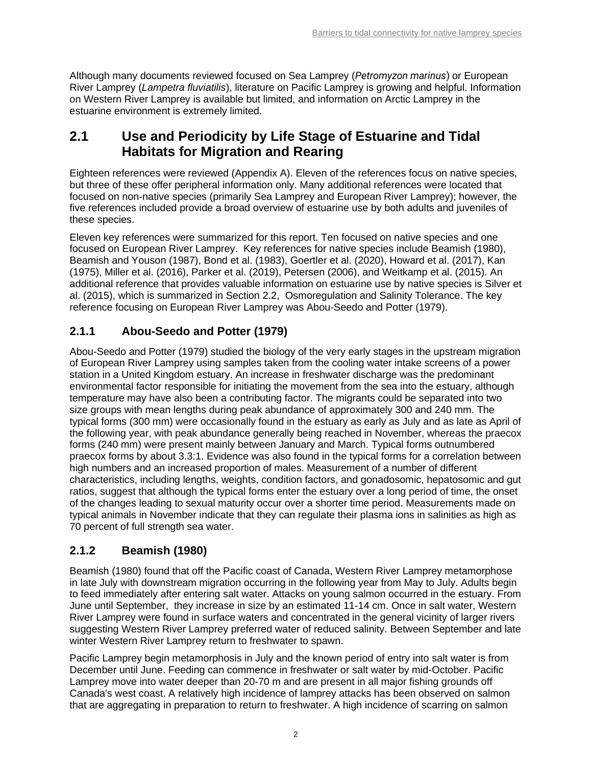Although many documents reviewed focused on Sea Lamprey (*Petromyzon marinus*) or European River Lamprey (*Lampetra fluviatilis*), literature on Pacific Lamprey is growing and helpful. Information on Western River Lamprey is available but limited, and information on Arctic Lamprey in the estuarine environment is extremely limited.

## <span id="page-5-0"></span>**2.1 Use and Periodicity by Life Stage of Estuarine and Tidal Habitats for Migration and Rearing**

Eighteen references were reviewed (Appendix A). Eleven of the references focus on native species, but three of these offer peripheral information only. Many additional references were located that focused on non-native species (primarily Sea Lamprey and European River Lamprey); however, the five references included provide a broad overview of estuarine use by both adults and juveniles of these species.

Eleven key references were summarized for this report. Ten focused on native species and one focused on European River Lamprey. Key references for native species include Beamish (1980), Beamish and Youson (1987), Bond et al. (1983), Goertler et al. (2020), Howard et al. (2017), Kan (1975), Miller et al. (2016), Parker et al. (2019), Petersen (2006), and Weitkamp et al. (2015). An additional reference that provides valuable information on estuarine use by native species is Silver et al. (2015), which is summarized in Section [2.2,](#page-10-0) Osmoregulation and Salinity Tolerance. The key reference focusing on European River Lamprey was Abou-Seedo and Potter (1979).

## <span id="page-5-1"></span>**2.1.1 Abou-Seedo and Potter (1979)**

Abou-Seedo and Potter (1979) studied the biology of the very early stages in the upstream migration of European River Lamprey using samples taken from the cooling water intake screens of a power station in a United Kingdom estuary. An increase in freshwater discharge was the predominant environmental factor responsible for initiating the movement from the sea into the estuary, although temperature may have also been a contributing factor. The migrants could be separated into two size groups with mean lengths during peak abundance of approximately 300 and 240 mm. The typical forms (300 mm) were occasionally found in the estuary as early as July and as late as April of the following year, with peak abundance generally being reached in November, whereas the praecox forms (240 mm) were present mainly between January and March. Typical forms outnumbered praecox forms by about 3.3:1. Evidence was also found in the typical forms for a correlation between high numbers and an increased proportion of males. Measurement of a number of different characteristics, including lengths, weights, condition factors, and gonadosomic, hepatosomic and gut ratios, suggest that although the typical forms enter the estuary over a long period of time, the onset of the changes leading to sexual maturity occur over a shorter time period. Measurements made on typical animals in November indicate that they can regulate their plasma ions in salinities as high as 70 percent of full strength sea water.

## <span id="page-5-2"></span>**2.1.2 Beamish (1980)**

Beamish (1980) found that off the Pacific coast of Canada, Western River Lamprey metamorphose in late July with downstream migration occurring in the following year from May to July. Adults begin to feed immediately after entering salt water. Attacks on young salmon occurred in the estuary. From June until September, they increase in size by an estimated 11-14 cm. Once in salt water, Western River Lamprey were found in surface waters and concentrated in the general vicinity of larger rivers suggesting Western River Lamprey preferred water of reduced salinity. Between September and late winter Western River Lamprey return to freshwater to spawn.

Pacific Lamprey begin metamorphosis in July and the known period of entry into salt water is from December until June. Feeding can commence in freshwater or salt water by mid-October. Pacific Lamprey move into water deeper than 20-70 m and are present in all major fishing grounds off Canada's west coast. A relatively high incidence of lamprey attacks has been observed on salmon that are aggregating in preparation to return to freshwater. A high incidence of scarring on salmon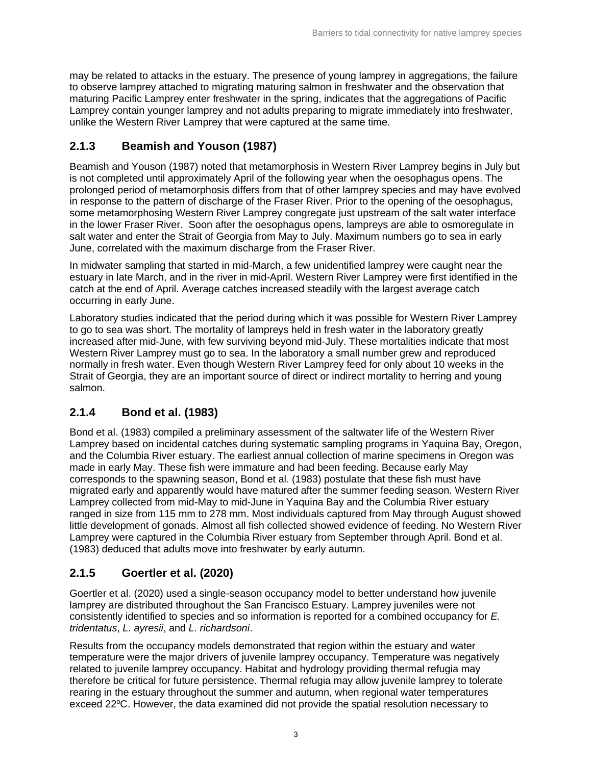may be related to attacks in the estuary. The presence of young lamprey in aggregations, the failure to observe lamprey attached to migrating maturing salmon in freshwater and the observation that maturing Pacific Lamprey enter freshwater in the spring, indicates that the aggregations of Pacific Lamprey contain younger lamprey and not adults preparing to migrate immediately into freshwater, unlike the Western River Lamprey that were captured at the same time.

## <span id="page-6-0"></span>**2.1.3 Beamish and Youson (1987)**

Beamish and Youson (1987) noted that metamorphosis in Western River Lamprey begins in July but is not completed until approximately April of the following year when the oesophagus opens. The prolonged period of metamorphosis differs from that of other lamprey species and may have evolved in response to the pattern of discharge of the Fraser River. Prior to the opening of the oesophagus, some metamorphosing Western River Lamprey congregate just upstream of the salt water interface in the lower Fraser River. Soon after the oesophagus opens, lampreys are able to osmoregulate in salt water and enter the Strait of Georgia from May to July. Maximum numbers go to sea in early June, correlated with the maximum discharge from the Fraser River.

In midwater sampling that started in mid-March, a few unidentified lamprey were caught near the estuary in late March, and in the river in mid-April. Western River Lamprey were first identified in the catch at the end of April. Average catches increased steadily with the largest average catch occurring in early June.

Laboratory studies indicated that the period during which it was possible for Western River Lamprey to go to sea was short. The mortality of lampreys held in fresh water in the laboratory greatly increased after mid-June, with few surviving beyond mid-July. These mortalities indicate that most Western River Lamprey must go to sea. In the laboratory a small number grew and reproduced normally in fresh water. Even though Western River Lamprey feed for only about 10 weeks in the Strait of Georgia, they are an important source of direct or indirect mortality to herring and young salmon.

## <span id="page-6-1"></span>**2.1.4 Bond et al. (1983)**

Bond et al. (1983) compiled a preliminary assessment of the saltwater life of the Western River Lamprey based on incidental catches during systematic sampling programs in Yaquina Bay, Oregon, and the Columbia River estuary. The earliest annual collection of marine specimens in Oregon was made in early May. These fish were immature and had been feeding. Because early May corresponds to the spawning season, Bond et al. (1983) postulate that these fish must have migrated early and apparently would have matured after the summer feeding season. Western River Lamprey collected from mid-May to mid-June in Yaquina Bay and the Columbia River estuary ranged in size from 115 mm to 278 mm. Most individuals captured from May through August showed little development of gonads. Almost all fish collected showed evidence of feeding. No Western River Lamprey were captured in the Columbia River estuary from September through April. Bond et al. (1983) deduced that adults move into freshwater by early autumn.

## <span id="page-6-2"></span>**2.1.5 Goertler et al. (2020)**

Goertler et al. (2020) used a single-season occupancy model to better understand how juvenile lamprey are distributed throughout the San Francisco Estuary. Lamprey juveniles were not consistently identified to species and so information is reported for a combined occupancy for *E. tridentatus*, *L. ayresii*, and *L. richardsoni*.

Results from the occupancy models demonstrated that region within the estuary and water temperature were the major drivers of juvenile lamprey occupancy. Temperature was negatively related to juvenile lamprey occupancy. Habitat and hydrology providing thermal refugia may therefore be critical for future persistence. Thermal refugia may allow juvenile lamprey to tolerate rearing in the estuary throughout the summer and autumn, when regional water temperatures exceed  $22^{\circ}$ C. However, the data examined did not provide the spatial resolution necessary to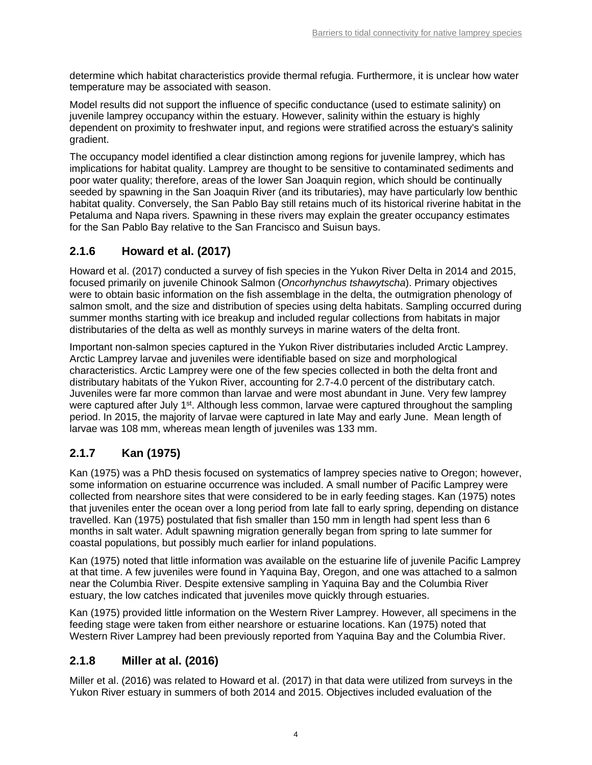determine which habitat characteristics provide thermal refugia. Furthermore, it is unclear how water temperature may be associated with season.

Model results did not support the influence of specific conductance (used to estimate salinity) on juvenile lamprey occupancy within the estuary. However, salinity within the estuary is highly dependent on proximity to freshwater input, and regions were stratified across the estuary's salinity gradient.

The occupancy model identified a clear distinction among regions for juvenile lamprey, which has implications for habitat quality. Lamprey are thought to be sensitive to contaminated sediments and poor water quality; therefore, areas of the lower San Joaquin region, which should be continually seeded by spawning in the San Joaquin River (and its tributaries), may have particularly low benthic habitat quality. Conversely, the San Pablo Bay still retains much of its historical riverine habitat in the Petaluma and Napa rivers. Spawning in these rivers may explain the greater occupancy estimates for the San Pablo Bay relative to the San Francisco and Suisun bays.

## <span id="page-7-0"></span>**2.1.6 Howard et al. (2017)**

Howard et al. (2017) conducted a survey of fish species in the Yukon River Delta in 2014 and 2015, focused primarily on juvenile Chinook Salmon (*Oncorhynchus tshawytscha*). Primary objectives were to obtain basic information on the fish assemblage in the delta, the outmigration phenology of salmon smolt, and the size and distribution of species using delta habitats. Sampling occurred during summer months starting with ice breakup and included regular collections from habitats in major distributaries of the delta as well as monthly surveys in marine waters of the delta front.

Important non-salmon species captured in the Yukon River distributaries included Arctic Lamprey. Arctic Lamprey larvae and juveniles were identifiable based on size and morphological characteristics. Arctic Lamprey were one of the few species collected in both the delta front and distributary habitats of the Yukon River, accounting for 2.7-4.0 percent of the distributary catch. Juveniles were far more common than larvae and were most abundant in June. Very few lamprey were captured after July 1<sup>st</sup>. Although less common, larvae were captured throughout the sampling period. In 2015, the majority of larvae were captured in late May and early June. Mean length of larvae was 108 mm, whereas mean length of juveniles was 133 mm.

## <span id="page-7-1"></span>**2.1.7 Kan (1975)**

Kan (1975) was a PhD thesis focused on systematics of lamprey species native to Oregon; however, some information on estuarine occurrence was included. A small number of Pacific Lamprey were collected from nearshore sites that were considered to be in early feeding stages. Kan (1975) notes that juveniles enter the ocean over a long period from late fall to early spring, depending on distance travelled. Kan (1975) postulated that fish smaller than 150 mm in length had spent less than 6 months in salt water. Adult spawning migration generally began from spring to late summer for coastal populations, but possibly much earlier for inland populations.

Kan (1975) noted that little information was available on the estuarine life of juvenile Pacific Lamprey at that time. A few juveniles were found in Yaquina Bay, Oregon, and one was attached to a salmon near the Columbia River. Despite extensive sampling in Yaquina Bay and the Columbia River estuary, the low catches indicated that juveniles move quickly through estuaries.

Kan (1975) provided little information on the Western River Lamprey. However, all specimens in the feeding stage were taken from either nearshore or estuarine locations. Kan (1975) noted that Western River Lamprey had been previously reported from Yaquina Bay and the Columbia River.

## <span id="page-7-2"></span>**2.1.8 Miller at al. (2016)**

Miller et al. (2016) was related to Howard et al. (2017) in that data were utilized from surveys in the Yukon River estuary in summers of both 2014 and 2015. Objectives included evaluation of the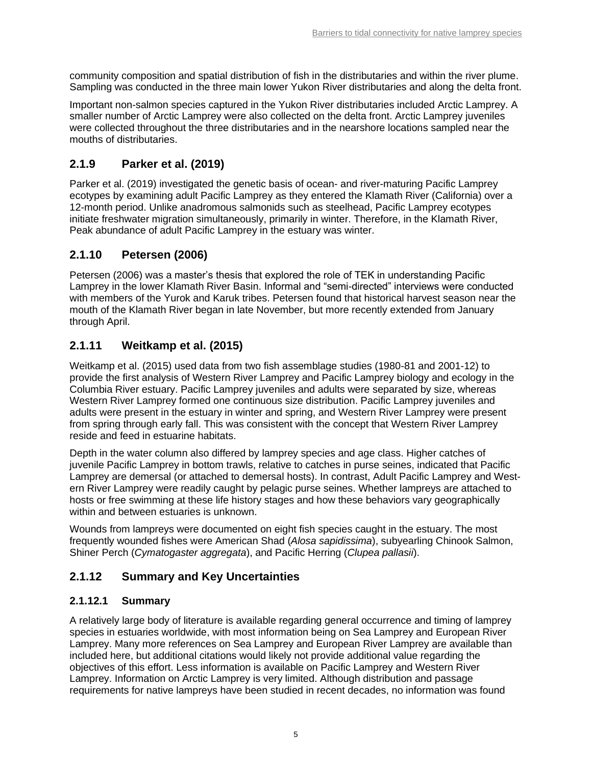community composition and spatial distribution of fish in the distributaries and within the river plume. Sampling was conducted in the three main lower Yukon River distributaries and along the delta front.

Important non-salmon species captured in the Yukon River distributaries included Arctic Lamprey. A smaller number of Arctic Lamprey were also collected on the delta front. Arctic Lamprey juveniles were collected throughout the three distributaries and in the nearshore locations sampled near the mouths of distributaries.

## <span id="page-8-0"></span>**2.1.9 Parker et al. (2019)**

Parker et al. (2019) investigated the genetic basis of ocean- and river-maturing Pacific Lamprey ecotypes by examining adult Pacific Lamprey as they entered the Klamath River (California) over a 12-month period. Unlike anadromous salmonids such as steelhead, Pacific Lamprey ecotypes initiate freshwater migration simultaneously, primarily in winter. Therefore, in the Klamath River, Peak abundance of adult Pacific Lamprey in the estuary was winter.

## <span id="page-8-1"></span>**2.1.10 Petersen (2006)**

Petersen (2006) was a master's thesis that explored the role of TEK in understanding Pacific Lamprey in the lower Klamath River Basin. Informal and "semi-directed" interviews were conducted with members of the Yurok and Karuk tribes. Petersen found that historical harvest season near the mouth of the Klamath River began in late November, but more recently extended from January through April.

## <span id="page-8-2"></span>**2.1.11 Weitkamp et al. (2015)**

Weitkamp et al. (2015) used data from two fish assemblage studies (1980-81 and 2001-12) to provide the first analysis of Western River Lamprey and Pacific Lamprey biology and ecology in the Columbia River estuary. Pacific Lamprey juveniles and adults were separated by size, whereas Western River Lamprey formed one continuous size distribution. Pacific Lamprey juveniles and adults were present in the estuary in winter and spring, and Western River Lamprey were present from spring through early fall. This was consistent with the concept that Western River Lamprey reside and feed in estuarine habitats.

Depth in the water column also differed by lamprey species and age class. Higher catches of juvenile Pacific Lamprey in bottom trawls, relative to catches in purse seines, indicated that Pacific Lamprey are demersal (or attached to demersal hosts). In contrast, Adult Pacific Lamprey and Western River Lamprey were readily caught by pelagic purse seines. Whether lampreys are attached to hosts or free swimming at these life history stages and how these behaviors vary geographically within and between estuaries is unknown.

Wounds from lampreys were documented on eight fish species caught in the estuary. The most frequently wounded fishes were American Shad (*Alosa sapidissima*), subyearling Chinook Salmon, Shiner Perch (*Cymatogaster aggregata*), and Pacific Herring (*Clupea pallasii*).

## <span id="page-8-3"></span>**2.1.12 Summary and Key Uncertainties**

### **2.1.12.1 Summary**

A relatively large body of literature is available regarding general occurrence and timing of lamprey species in estuaries worldwide, with most information being on Sea Lamprey and European River Lamprey. Many more references on Sea Lamprey and European River Lamprey are available than included here, but additional citations would likely not provide additional value regarding the objectives of this effort. Less information is available on Pacific Lamprey and Western River Lamprey. Information on Arctic Lamprey is very limited. Although distribution and passage requirements for native lampreys have been studied in recent decades, no information was found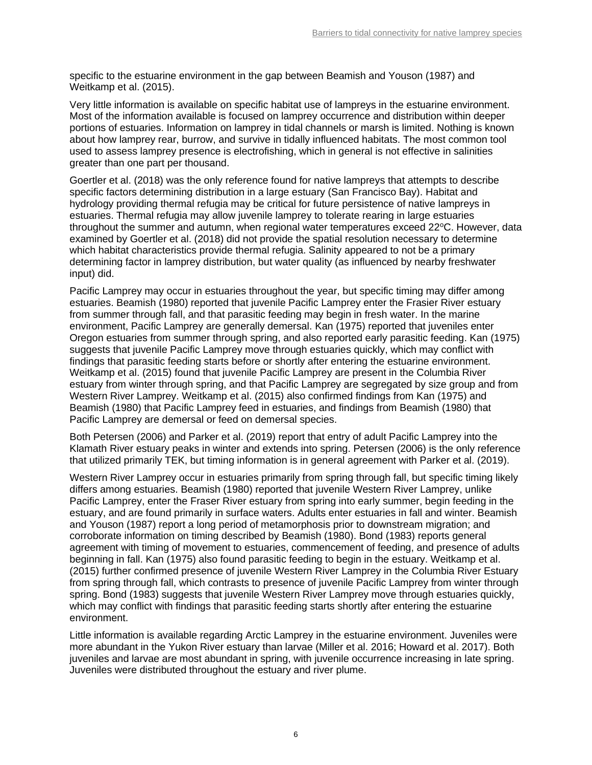specific to the estuarine environment in the gap between Beamish and Youson (1987) and Weitkamp et al. (2015).

Very little information is available on specific habitat use of lampreys in the estuarine environment. Most of the information available is focused on lamprey occurrence and distribution within deeper portions of estuaries. Information on lamprey in tidal channels or marsh is limited. Nothing is known about how lamprey rear, burrow, and survive in tidally influenced habitats. The most common tool used to assess lamprey presence is electrofishing, which in general is not effective in salinities greater than one part per thousand.

Goertler et al. (2018) was the only reference found for native lampreys that attempts to describe specific factors determining distribution in a large estuary (San Francisco Bay). Habitat and hydrology providing thermal refugia may be critical for future persistence of native lampreys in estuaries. Thermal refugia may allow juvenile lamprey to tolerate rearing in large estuaries throughout the summer and autumn, when regional water temperatures exceed  $22^{\circ}$ C. However, data examined by Goertler et al. (2018) did not provide the spatial resolution necessary to determine which habitat characteristics provide thermal refugia. Salinity appeared to not be a primary determining factor in lamprey distribution, but water quality (as influenced by nearby freshwater input) did.

Pacific Lamprey may occur in estuaries throughout the year, but specific timing may differ among estuaries. Beamish (1980) reported that juvenile Pacific Lamprey enter the Frasier River estuary from summer through fall, and that parasitic feeding may begin in fresh water. In the marine environment, Pacific Lamprey are generally demersal. Kan (1975) reported that juveniles enter Oregon estuaries from summer through spring, and also reported early parasitic feeding. Kan (1975) suggests that juvenile Pacific Lamprey move through estuaries quickly, which may conflict with findings that parasitic feeding starts before or shortly after entering the estuarine environment. Weitkamp et al. (2015) found that juvenile Pacific Lamprey are present in the Columbia River estuary from winter through spring, and that Pacific Lamprey are segregated by size group and from Western River Lamprey. Weitkamp et al. (2015) also confirmed findings from Kan (1975) and Beamish (1980) that Pacific Lamprey feed in estuaries, and findings from Beamish (1980) that Pacific Lamprey are demersal or feed on demersal species.

Both Petersen (2006) and Parker et al. (2019) report that entry of adult Pacific Lamprey into the Klamath River estuary peaks in winter and extends into spring. Petersen (2006) is the only reference that utilized primarily TEK, but timing information is in general agreement with Parker et al. (2019).

Western River Lamprey occur in estuaries primarily from spring through fall, but specific timing likely differs among estuaries. Beamish (1980) reported that juvenile Western River Lamprey, unlike Pacific Lamprey, enter the Fraser River estuary from spring into early summer, begin feeding in the estuary, and are found primarily in surface waters. Adults enter estuaries in fall and winter. Beamish and Youson (1987) report a long period of metamorphosis prior to downstream migration; and corroborate information on timing described by Beamish (1980). Bond (1983) reports general agreement with timing of movement to estuaries, commencement of feeding, and presence of adults beginning in fall. Kan (1975) also found parasitic feeding to begin in the estuary. Weitkamp et al. (2015) further confirmed presence of juvenile Western River Lamprey in the Columbia River Estuary from spring through fall, which contrasts to presence of juvenile Pacific Lamprey from winter through spring. Bond (1983) suggests that juvenile Western River Lamprey move through estuaries quickly, which may conflict with findings that parasitic feeding starts shortly after entering the estuarine environment.

Little information is available regarding Arctic Lamprey in the estuarine environment. Juveniles were more abundant in the Yukon River estuary than larvae (Miller et al. 2016; Howard et al. 2017). Both juveniles and larvae are most abundant in spring, with juvenile occurrence increasing in late spring. Juveniles were distributed throughout the estuary and river plume.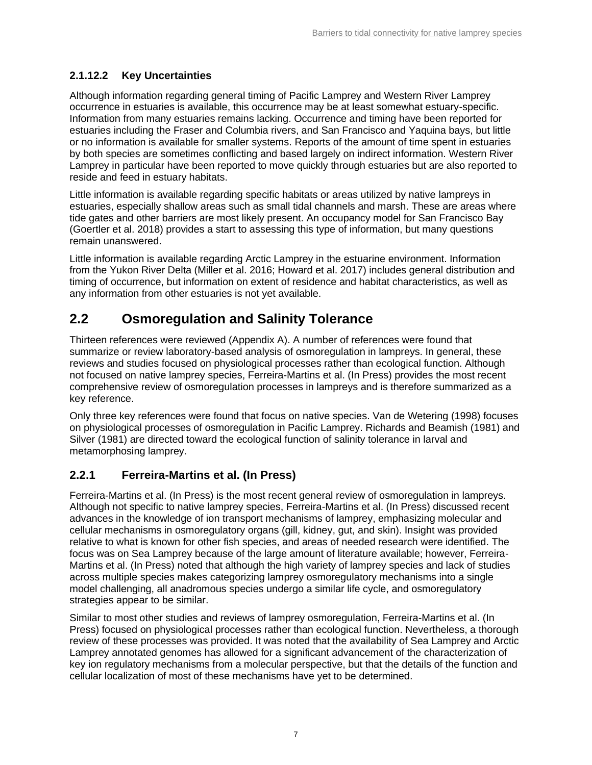### **2.1.12.2 Key Uncertainties**

Although information regarding general timing of Pacific Lamprey and Western River Lamprey occurrence in estuaries is available, this occurrence may be at least somewhat estuary-specific. Information from many estuaries remains lacking. Occurrence and timing have been reported for estuaries including the Fraser and Columbia rivers, and San Francisco and Yaquina bays, but little or no information is available for smaller systems. Reports of the amount of time spent in estuaries by both species are sometimes conflicting and based largely on indirect information. Western River Lamprey in particular have been reported to move quickly through estuaries but are also reported to reside and feed in estuary habitats.

Little information is available regarding specific habitats or areas utilized by native lampreys in estuaries, especially shallow areas such as small tidal channels and marsh. These are areas where tide gates and other barriers are most likely present. An occupancy model for San Francisco Bay (Goertler et al. 2018) provides a start to assessing this type of information, but many questions remain unanswered.

Little information is available regarding Arctic Lamprey in the estuarine environment. Information from the Yukon River Delta (Miller et al. 2016; Howard et al. 2017) includes general distribution and timing of occurrence, but information on extent of residence and habitat characteristics, as well as any information from other estuaries is not yet available.

## <span id="page-10-0"></span>**2.2 Osmoregulation and Salinity Tolerance**

Thirteen references were reviewed (Appendix A). A number of references were found that summarize or review laboratory-based analysis of osmoregulation in lampreys. In general, these reviews and studies focused on physiological processes rather than ecological function. Although not focused on native lamprey species, Ferreira-Martins et al. (In Press) provides the most recent comprehensive review of osmoregulation processes in lampreys and is therefore summarized as a key reference.

Only three key references were found that focus on native species. Van de Wetering (1998) focuses on physiological processes of osmoregulation in Pacific Lamprey. Richards and Beamish (1981) and Silver (1981) are directed toward the ecological function of salinity tolerance in larval and metamorphosing lamprey.

### <span id="page-10-1"></span>**2.2.1 Ferreira-Martins et al. (In Press)**

Ferreira-Martins et al. (In Press) is the most recent general review of osmoregulation in lampreys. Although not specific to native lamprey species, Ferreira-Martins et al. (In Press) discussed recent advances in the knowledge of ion transport mechanisms of lamprey, emphasizing molecular and cellular mechanisms in osmoregulatory organs (gill, kidney, gut, and skin). Insight was provided relative to what is known for other fish species, and areas of needed research were identified. The focus was on Sea Lamprey because of the large amount of literature available; however, Ferreira-Martins et al. (In Press) noted that although the high variety of lamprey species and lack of studies across multiple species makes categorizing lamprey osmoregulatory mechanisms into a single model challenging, all anadromous species undergo a similar life cycle, and osmoregulatory strategies appear to be similar.

Similar to most other studies and reviews of lamprey osmoregulation, Ferreira-Martins et al. (In Press) focused on physiological processes rather than ecological function. Nevertheless, a thorough review of these processes was provided. It was noted that the availability of Sea Lamprey and Arctic Lamprey annotated genomes has allowed for a significant advancement of the characterization of key ion regulatory mechanisms from a molecular perspective, but that the details of the function and cellular localization of most of these mechanisms have yet to be determined.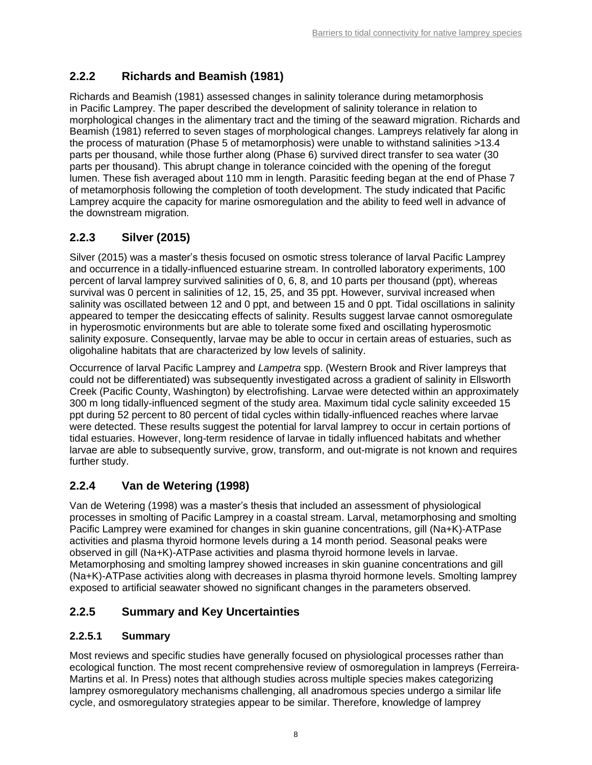## <span id="page-11-0"></span>**2.2.2 Richards and Beamish (1981)**

Richards and Beamish (1981) assessed changes in salinity tolerance during metamorphosis in Pacific Lamprey. The paper described the development of salinity tolerance in relation to morphological changes in the alimentary tract and the timing of the seaward migration. Richards and Beamish (1981) referred to seven stages of morphological changes. Lampreys relatively far along in the process of maturation (Phase 5 of metamorphosis) were unable to withstand salinities >13.4 parts per thousand, while those further along (Phase 6) survived direct transfer to sea water (30 parts per thousand). This abrupt change in tolerance coincided with the opening of the foregut lumen. These fish averaged about 110 mm in length. Parasitic feeding began at the end of Phase 7 of metamorphosis following the completion of tooth development. The study indicated that Pacific Lamprey acquire the capacity for marine osmoregulation and the ability to feed well in advance of the downstream migration.

## <span id="page-11-1"></span>**2.2.3 Silver (2015)**

Silver (2015) was a master's thesis focused on osmotic stress tolerance of larval Pacific Lamprey and occurrence in a tidally-influenced estuarine stream. In controlled laboratory experiments, 100 percent of larval lamprey survived salinities of 0, 6, 8, and 10 parts per thousand (ppt), whereas survival was 0 percent in salinities of 12, 15, 25, and 35 ppt. However, survival increased when salinity was oscillated between 12 and 0 ppt, and between 15 and 0 ppt. Tidal oscillations in salinity appeared to temper the desiccating effects of salinity. Results suggest larvae cannot osmoregulate in hyperosmotic environments but are able to tolerate some fixed and oscillating hyperosmotic salinity exposure. Consequently, larvae may be able to occur in certain areas of estuaries, such as oligohaline habitats that are characterized by low levels of salinity.

Occurrence of larval Pacific Lamprey and *Lampetra* spp. (Western Brook and River lampreys that could not be differentiated) was subsequently investigated across a gradient of salinity in Ellsworth Creek (Pacific County, Washington) by electrofishing. Larvae were detected within an approximately 300 m long tidally-influenced segment of the study area. Maximum tidal cycle salinity exceeded 15 ppt during 52 percent to 80 percent of tidal cycles within tidally-influenced reaches where larvae were detected. These results suggest the potential for larval lamprey to occur in certain portions of tidal estuaries. However, long-term residence of larvae in tidally influenced habitats and whether larvae are able to subsequently survive, grow, transform, and out-migrate is not known and requires further study.

## <span id="page-11-2"></span>**2.2.4 Van de Wetering (1998)**

Van de Wetering (1998) was a master's thesis that included an assessment of physiological processes in smolting of Pacific Lamprey in a coastal stream. Larval, metamorphosing and smolting Pacific Lamprey were examined for changes in skin guanine concentrations, gill (Na+K)-ATPase activities and plasma thyroid hormone levels during a 14 month period. Seasonal peaks were observed in gill (Na+K)-ATPase activities and plasma thyroid hormone levels in larvae. Metamorphosing and smolting lamprey showed increases in skin guanine concentrations and gill (Na+K)-ATPase activities along with decreases in plasma thyroid hormone levels. Smolting lamprey exposed to artificial seawater showed no significant changes in the parameters observed.

## <span id="page-11-3"></span>**2.2.5 Summary and Key Uncertainties**

## **2.2.5.1 Summary**

Most reviews and specific studies have generally focused on physiological processes rather than ecological function. The most recent comprehensive review of osmoregulation in lampreys (Ferreira-Martins et al. In Press) notes that although studies across multiple species makes categorizing lamprey osmoregulatory mechanisms challenging, all anadromous species undergo a similar life cycle, and osmoregulatory strategies appear to be similar. Therefore, knowledge of lamprey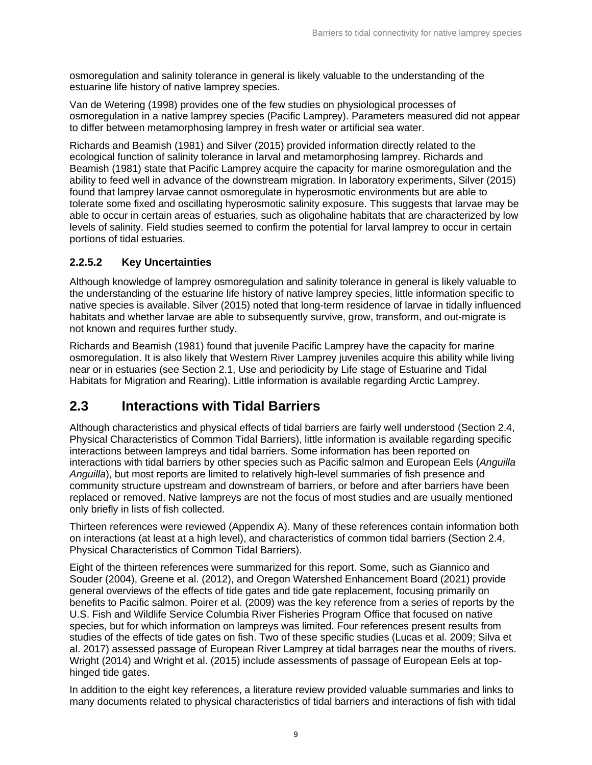osmoregulation and salinity tolerance in general is likely valuable to the understanding of the estuarine life history of native lamprey species.

Van de Wetering (1998) provides one of the few studies on physiological processes of osmoregulation in a native lamprey species (Pacific Lamprey). Parameters measured did not appear to differ between metamorphosing lamprey in fresh water or artificial sea water.

Richards and Beamish (1981) and Silver (2015) provided information directly related to the ecological function of salinity tolerance in larval and metamorphosing lamprey. Richards and Beamish (1981) state that Pacific Lamprey acquire the capacity for marine osmoregulation and the ability to feed well in advance of the downstream migration. In laboratory experiments, Silver (2015) found that lamprey larvae cannot osmoregulate in hyperosmotic environments but are able to tolerate some fixed and oscillating hyperosmotic salinity exposure. This suggests that larvae may be able to occur in certain areas of estuaries, such as oligohaline habitats that are characterized by low levels of salinity. Field studies seemed to confirm the potential for larval lamprey to occur in certain portions of tidal estuaries.

### **2.2.5.2 Key Uncertainties**

Although knowledge of lamprey osmoregulation and salinity tolerance in general is likely valuable to the understanding of the estuarine life history of native lamprey species, little information specific to native species is available. Silver (2015) noted that long-term residence of larvae in tidally influenced habitats and whether larvae are able to subsequently survive, grow, transform, and out-migrate is not known and requires further study.

Richards and Beamish (1981) found that juvenile Pacific Lamprey have the capacity for marine osmoregulation. It is also likely that Western River Lamprey juveniles acquire this ability while living near or in estuaries (see Section [2.1,](#page-5-0) Use and periodicity by Life stage of Estuarine and Tidal Habitats for Migration and Rearing). Little information is available regarding Arctic Lamprey.

## <span id="page-12-0"></span>**2.3 Interactions with Tidal Barriers**

Although characteristics and physical effects of tidal barriers are fairly well understood (Section [2.4,](#page-16-1) Physical Characteristics of Common Tidal Barriers), little information is available regarding specific interactions between lampreys and tidal barriers. Some information has been reported on interactions with tidal barriers by other species such as Pacific salmon and European Eels (*Anguilla Anguilla*), but most reports are limited to relatively high-level summaries of fish presence and community structure upstream and downstream of barriers, or before and after barriers have been replaced or removed. Native lampreys are not the focus of most studies and are usually mentioned only briefly in lists of fish collected.

Thirteen references were reviewed (Appendix A). Many of these references contain information both on interactions (at least at a high level), and characteristics of common tidal barriers (Section [2.4,](#page-16-1) Physical Characteristics of Common Tidal Barriers).

Eight of the thirteen references were summarized for this report. Some, such as Giannico and Souder (2004), Greene et al. (2012), and Oregon Watershed Enhancement Board (2021) provide general overviews of the effects of tide gates and tide gate replacement, focusing primarily on benefits to Pacific salmon. Poirer et al. (2009) was the key reference from a series of reports by the U.S. Fish and Wildlife Service Columbia River Fisheries Program Office that focused on native species, but for which information on lampreys was limited. Four references present results from studies of the effects of tide gates on fish. Two of these specific studies (Lucas et al. 2009; Silva et al. 2017) assessed passage of European River Lamprey at tidal barrages near the mouths of rivers. Wright (2014) and Wright et al. (2015) include assessments of passage of European Eels at tophinged tide gates.

In addition to the eight key references, a literature review provided valuable summaries and links to many documents related to physical characteristics of tidal barriers and interactions of fish with tidal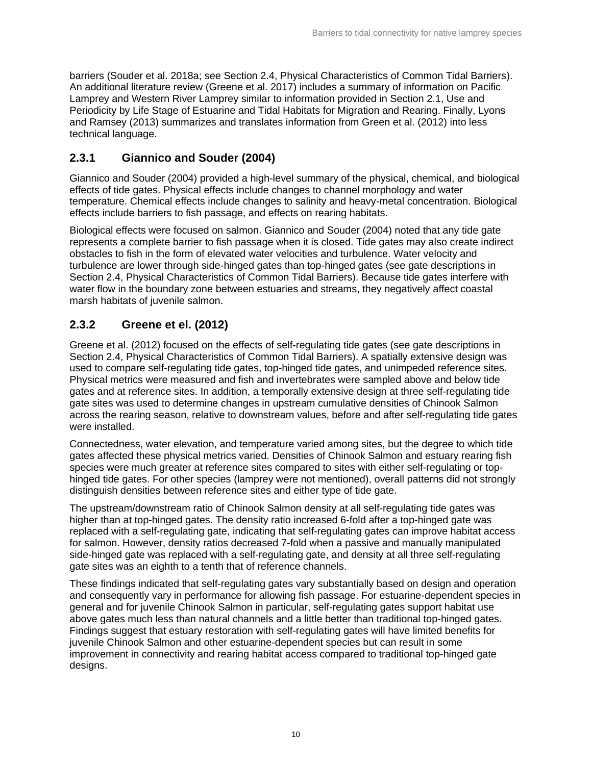barriers (Souder et al. 2018a; see Section [2.4,](#page-16-1) Physical Characteristics of Common Tidal Barriers). An additional literature review (Greene et al. 2017) includes a summary of information on Pacific Lamprey and Western River Lamprey similar to information provided in Section [2.1,](#page-5-0) Use and Periodicity by Life Stage of Estuarine and Tidal Habitats for Migration and Rearing. Finally, Lyons and Ramsey (2013) summarizes and translates information from Green et al. (2012) into less technical language.

## <span id="page-13-0"></span>**2.3.1 Giannico and Souder (2004)**

Giannico and Souder (2004) provided a high-level summary of the physical, chemical, and biological effects of tide gates. Physical effects include changes to channel morphology and water temperature. Chemical effects include changes to salinity and heavy-metal concentration. Biological effects include barriers to fish passage, and effects on rearing habitats.

Biological effects were focused on salmon. Giannico and Souder (2004) noted that any tide gate represents a complete barrier to fish passage when it is closed. Tide gates may also create indirect obstacles to fish in the form of elevated water velocities and turbulence. Water velocity and turbulence are lower through side-hinged gates than top-hinged gates (see gate descriptions in Section [2.4,](#page-16-1) Physical Characteristics of Common Tidal Barriers). Because tide gates interfere with water flow in the boundary zone between estuaries and streams, they negatively affect coastal marsh habitats of juvenile salmon.

## <span id="page-13-1"></span>**2.3.2 Greene et el. (2012)**

Greene et al. (2012) focused on the effects of self-regulating tide gates (see gate descriptions in Section [2.4,](#page-16-1) Physical Characteristics of Common Tidal Barriers). A spatially extensive design was used to compare self-regulating tide gates, top-hinged tide gates, and unimpeded reference sites. Physical metrics were measured and fish and invertebrates were sampled above and below tide gates and at reference sites. In addition, a temporally extensive design at three self-regulating tide gate sites was used to determine changes in upstream cumulative densities of Chinook Salmon across the rearing season, relative to downstream values, before and after self-regulating tide gates were installed.

Connectedness, water elevation, and temperature varied among sites, but the degree to which tide gates affected these physical metrics varied. Densities of Chinook Salmon and estuary rearing fish species were much greater at reference sites compared to sites with either self-regulating or tophinged tide gates. For other species (lamprey were not mentioned), overall patterns did not strongly distinguish densities between reference sites and either type of tide gate.

The upstream/downstream ratio of Chinook Salmon density at all self-regulating tide gates was higher than at top-hinged gates. The density ratio increased 6-fold after a top-hinged gate was replaced with a self-regulating gate, indicating that self-regulating gates can improve habitat access for salmon. However, density ratios decreased 7-fold when a passive and manually manipulated side-hinged gate was replaced with a self-regulating gate, and density at all three self-regulating gate sites was an eighth to a tenth that of reference channels.

These findings indicated that self-regulating gates vary substantially based on design and operation and consequently vary in performance for allowing fish passage. For estuarine-dependent species in general and for juvenile Chinook Salmon in particular, self-regulating gates support habitat use above gates much less than natural channels and a little better than traditional top-hinged gates. Findings suggest that estuary restoration with self-regulating gates will have limited benefits for juvenile Chinook Salmon and other estuarine-dependent species but can result in some improvement in connectivity and rearing habitat access compared to traditional top-hinged gate designs.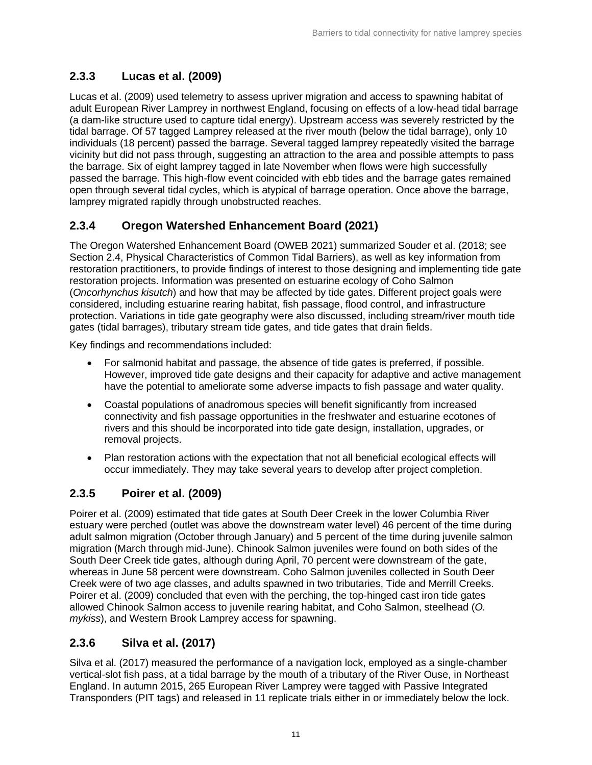## <span id="page-14-0"></span>**2.3.3 Lucas et al. (2009)**

Lucas et al. (2009) used telemetry to assess upriver migration and access to spawning habitat of adult European River Lamprey in northwest England, focusing on effects of a low-head tidal barrage (a dam-like structure used to capture tidal energy). Upstream access was severely restricted by the tidal barrage. Of 57 tagged Lamprey released at the river mouth (below the tidal barrage), only 10 individuals (18 percent) passed the barrage. Several tagged lamprey repeatedly visited the barrage vicinity but did not pass through, suggesting an attraction to the area and possible attempts to pass the barrage. Six of eight lamprey tagged in late November when flows were high successfully passed the barrage. This high-flow event coincided with ebb tides and the barrage gates remained open through several tidal cycles, which is atypical of barrage operation. Once above the barrage, lamprey migrated rapidly through unobstructed reaches.

## <span id="page-14-1"></span>**2.3.4 Oregon Watershed Enhancement Board (2021)**

The Oregon Watershed Enhancement Board (OWEB 2021) summarized Souder et al. (2018; see Section [2.4,](#page-16-1) Physical Characteristics of Common Tidal Barriers), as well as key information from restoration practitioners, to provide findings of interest to those designing and implementing tide gate restoration projects. Information was presented on estuarine ecology of Coho Salmon (*Oncorhynchus kisutch*) and how that may be affected by tide gates. Different project goals were considered, including estuarine rearing habitat, fish passage, flood control, and infrastructure protection. Variations in tide gate geography were also discussed, including stream/river mouth tide gates (tidal barrages), tributary stream tide gates, and tide gates that drain fields.

Key findings and recommendations included:

- For salmonid habitat and passage, the absence of tide gates is preferred, if possible. However, improved tide gate designs and their capacity for adaptive and active management have the potential to ameliorate some adverse impacts to fish passage and water quality.
- Coastal populations of anadromous species will benefit significantly from increased connectivity and fish passage opportunities in the freshwater and estuarine ecotones of rivers and this should be incorporated into tide gate design, installation, upgrades, or removal projects.
- Plan restoration actions with the expectation that not all beneficial ecological effects will occur immediately. They may take several years to develop after project completion.

## <span id="page-14-2"></span>**2.3.5 Poirer et al. (2009)**

Poirer et al. (2009) estimated that tide gates at South Deer Creek in the lower Columbia River estuary were perched (outlet was above the downstream water level) 46 percent of the time during adult salmon migration (October through January) and 5 percent of the time during juvenile salmon migration (March through mid-June). Chinook Salmon juveniles were found on both sides of the South Deer Creek tide gates, although during April, 70 percent were downstream of the gate, whereas in June 58 percent were downstream. Coho Salmon juveniles collected in South Deer Creek were of two age classes, and adults spawned in two tributaries, Tide and Merrill Creeks. Poirer et al. (2009) concluded that even with the perching, the top-hinged cast iron tide gates allowed Chinook Salmon access to juvenile rearing habitat, and Coho Salmon, steelhead (*O. mykiss*), and Western Brook Lamprey access for spawning.

## <span id="page-14-3"></span>**2.3.6 Silva et al. (2017)**

Silva et al. (2017) measured the performance of a navigation lock, employed as a single-chamber vertical-slot fish pass, at a tidal barrage by the mouth of a tributary of the River Ouse, in Northeast England. In autumn 2015, 265 European River Lamprey were tagged with Passive Integrated Transponders (PIT tags) and released in 11 replicate trials either in or immediately below the lock.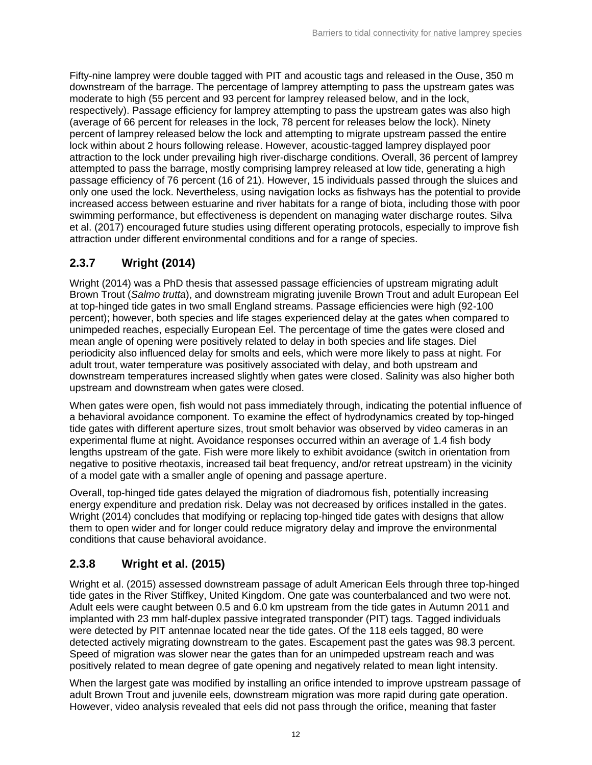Fifty-nine lamprey were double tagged with PIT and acoustic tags and released in the Ouse, 350 m downstream of the barrage. The percentage of lamprey attempting to pass the upstream gates was moderate to high (55 percent and 93 percent for lamprey released below, and in the lock, respectively). Passage efficiency for lamprey attempting to pass the upstream gates was also high (average of 66 percent for releases in the lock, 78 percent for releases below the lock). Ninety percent of lamprey released below the lock and attempting to migrate upstream passed the entire lock within about 2 hours following release. However, acoustic-tagged lamprey displayed poor attraction to the lock under prevailing high river-discharge conditions. Overall, 36 percent of lamprey attempted to pass the barrage, mostly comprising lamprey released at low tide, generating a high passage efficiency of 76 percent (16 of 21). However, 15 individuals passed through the sluices and only one used the lock. Nevertheless, using navigation locks as fishways has the potential to provide increased access between estuarine and river habitats for a range of biota, including those with poor swimming performance, but effectiveness is dependent on managing water discharge routes. Silva et al. (2017) encouraged future studies using different operating protocols, especially to improve fish attraction under different environmental conditions and for a range of species.

## <span id="page-15-0"></span>**2.3.7 Wright (2014)**

Wright (2014) was a PhD thesis that assessed passage efficiencies of upstream migrating adult Brown Trout (*Salmo trutta*), and downstream migrating juvenile Brown Trout and adult European Eel at top-hinged tide gates in two small England streams. Passage efficiencies were high (92-100 percent); however, both species and life stages experienced delay at the gates when compared to unimpeded reaches, especially European Eel. The percentage of time the gates were closed and mean angle of opening were positively related to delay in both species and life stages. Diel periodicity also influenced delay for smolts and eels, which were more likely to pass at night. For adult trout, water temperature was positively associated with delay, and both upstream and downstream temperatures increased slightly when gates were closed. Salinity was also higher both upstream and downstream when gates were closed.

When gates were open, fish would not pass immediately through, indicating the potential influence of a behavioral avoidance component. To examine the effect of hydrodynamics created by top-hinged tide gates with different aperture sizes, trout smolt behavior was observed by video cameras in an experimental flume at night. Avoidance responses occurred within an average of 1.4 fish body lengths upstream of the gate. Fish were more likely to exhibit avoidance (switch in orientation from negative to positive rheotaxis, increased tail beat frequency, and/or retreat upstream) in the vicinity of a model gate with a smaller angle of opening and passage aperture.

Overall, top-hinged tide gates delayed the migration of diadromous fish, potentially increasing energy expenditure and predation risk. Delay was not decreased by orifices installed in the gates. Wright (2014) concludes that modifying or replacing top-hinged tide gates with designs that allow them to open wider and for longer could reduce migratory delay and improve the environmental conditions that cause behavioral avoidance.

## <span id="page-15-1"></span>**2.3.8 Wright et al. (2015)**

Wright et al. (2015) assessed downstream passage of adult American Eels through three top-hinged tide gates in the River Stiffkey, United Kingdom. One gate was counterbalanced and two were not. Adult eels were caught between 0.5 and 6.0 km upstream from the tide gates in Autumn 2011 and implanted with 23 mm half-duplex passive integrated transponder (PIT) tags. Tagged individuals were detected by PIT antennae located near the tide gates. Of the 118 eels tagged, 80 were detected actively migrating downstream to the gates. Escapement past the gates was 98.3 percent. Speed of migration was slower near the gates than for an unimpeded upstream reach and was positively related to mean degree of gate opening and negatively related to mean light intensity.

When the largest gate was modified by installing an orifice intended to improve upstream passage of adult Brown Trout and juvenile eels, downstream migration was more rapid during gate operation. However, video analysis revealed that eels did not pass through the orifice, meaning that faster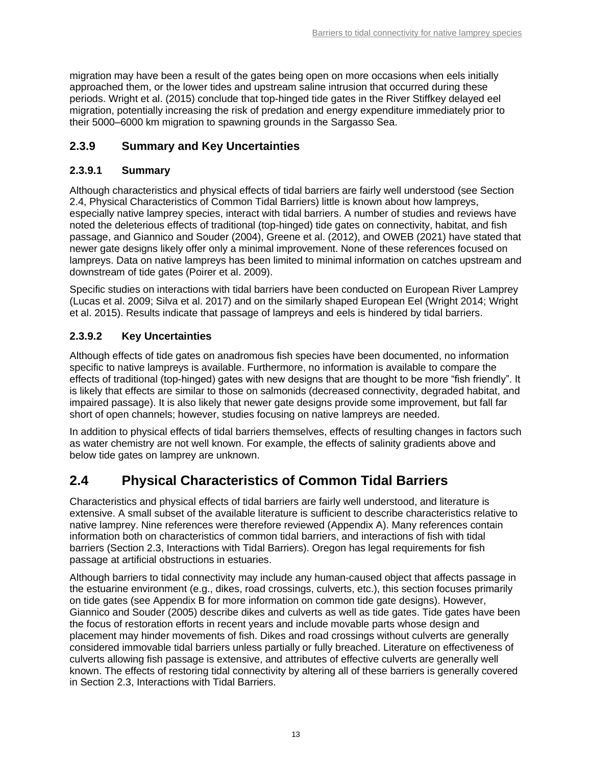migration may have been a result of the gates being open on more occasions when eels initially approached them, or the lower tides and upstream saline intrusion that occurred during these periods. Wright et al. (2015) conclude that top-hinged tide gates in the River Stiffkey delayed eel migration, potentially increasing the risk of predation and energy expenditure immediately prior to their 5000–6000 km migration to spawning grounds in the Sargasso Sea.

## <span id="page-16-0"></span>**2.3.9 Summary and Key Uncertainties**

#### **2.3.9.1 Summary**

Although characteristics and physical effects of tidal barriers are fairly well understood (see Section [2.4,](#page-16-1) Physical Characteristics of Common Tidal Barriers) little is known about how lampreys, especially native lamprey species, interact with tidal barriers. A number of studies and reviews have noted the deleterious effects of traditional (top-hinged) tide gates on connectivity, habitat, and fish passage, and Giannico and Souder (2004), Greene et al. (2012), and OWEB (2021) have stated that newer gate designs likely offer only a minimal improvement. None of these references focused on lampreys. Data on native lampreys has been limited to minimal information on catches upstream and downstream of tide gates (Poirer et al. 2009).

Specific studies on interactions with tidal barriers have been conducted on European River Lamprey (Lucas et al. 2009; Silva et al. 2017) and on the similarly shaped European Eel (Wright 2014; Wright et al. 2015). Results indicate that passage of lampreys and eels is hindered by tidal barriers.

### **2.3.9.2 Key Uncertainties**

Although effects of tide gates on anadromous fish species have been documented, no information specific to native lampreys is available. Furthermore, no information is available to compare the effects of traditional (top-hinged) gates with new designs that are thought to be more "fish friendly". It is likely that effects are similar to those on salmonids (decreased connectivity, degraded habitat, and impaired passage). It is also likely that newer gate designs provide some improvement, but fall far short of open channels; however, studies focusing on native lampreys are needed.

In addition to physical effects of tidal barriers themselves, effects of resulting changes in factors such as water chemistry are not well known. For example, the effects of salinity gradients above and below tide gates on lamprey are unknown.

## <span id="page-16-1"></span>**2.4 Physical Characteristics of Common Tidal Barriers**

Characteristics and physical effects of tidal barriers are fairly well understood, and literature is extensive. A small subset of the available literature is sufficient to describe characteristics relative to native lamprey. Nine references were therefore reviewed (Appendix A). Many references contain information both on characteristics of common tidal barriers, and interactions of fish with tidal barriers (Section [2.3,](#page-12-0) Interactions with Tidal Barriers). Oregon has legal requirements for fish passage at artificial obstructions in estuaries.

Although barriers to tidal connectivity may include any human-caused object that affects passage in the estuarine environment (e.g., dikes, road crossings, culverts, etc.), this section focuses primarily on tide gates (see Appendix B for more information on common tide gate designs). However, Giannico and Souder (2005) describe dikes and culverts as well as tide gates. Tide gates have been the focus of restoration efforts in recent years and include movable parts whose design and placement may hinder movements of fish. Dikes and road crossings without culverts are generally considered immovable tidal barriers unless partially or fully breached. Literature on effectiveness of culverts allowing fish passage is extensive, and attributes of effective culverts are generally well known. The effects of restoring tidal connectivity by altering all of these barriers is generally covered in Section [2.3,](#page-12-0) Interactions with Tidal Barriers.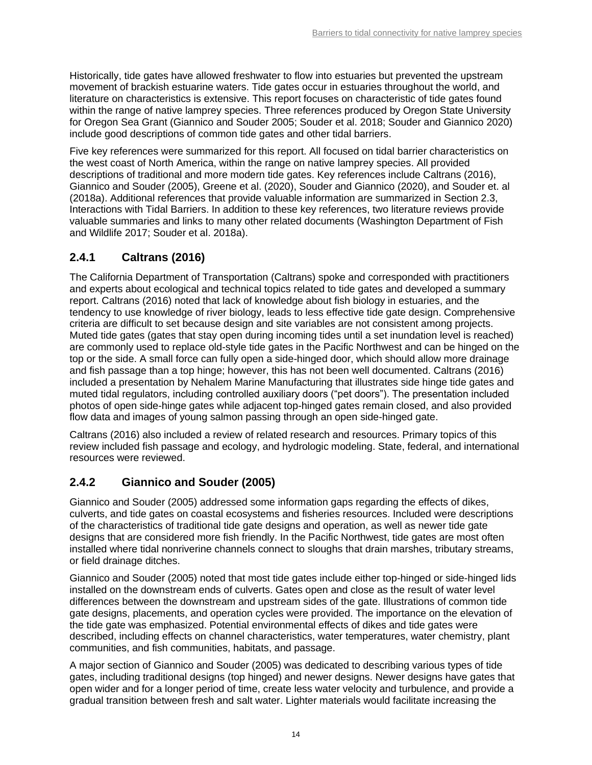Historically, tide gates have allowed freshwater to flow into estuaries but prevented the upstream movement of brackish estuarine waters. Tide gates occur in estuaries throughout the world, and literature on characteristics is extensive. This report focuses on characteristic of tide gates found within the range of native lamprey species. Three references produced by Oregon State University for Oregon Sea Grant (Giannico and Souder 2005; Souder et al. 2018; Souder and Giannico 2020) include good descriptions of common tide gates and other tidal barriers.

Five key references were summarized for this report. All focused on tidal barrier characteristics on the west coast of North America, within the range on native lamprey species. All provided descriptions of traditional and more modern tide gates. Key references include Caltrans (2016), Giannico and Souder (2005), Greene et al. (2020), Souder and Giannico (2020), and Souder et. al (2018a). Additional references that provide valuable information are summarized in Section [2.3,](#page-12-0) Interactions with Tidal Barriers. In addition to these key references, two literature reviews provide valuable summaries and links to many other related documents (Washington Department of Fish and Wildlife 2017; Souder et al. 2018a).

## <span id="page-17-0"></span>**2.4.1 Caltrans (2016)**

The California Department of Transportation (Caltrans) spoke and corresponded with practitioners and experts about ecological and technical topics related to tide gates and developed a summary report. Caltrans (2016) noted that lack of knowledge about fish biology in estuaries, and the tendency to use knowledge of river biology, leads to less effective tide gate design. Comprehensive criteria are difficult to set because design and site variables are not consistent among projects. Muted tide gates (gates that stay open during incoming tides until a set inundation level is reached) are commonly used to replace old-style tide gates in the Pacific Northwest and can be hinged on the top or the side. A small force can fully open a side-hinged door, which should allow more drainage and fish passage than a top hinge; however, this has not been well documented. Caltrans (2016) included a presentation by Nehalem Marine Manufacturing that illustrates side hinge tide gates and muted tidal regulators, including controlled auxiliary doors ("pet doors"). The presentation included photos of open side-hinge gates while adjacent top-hinged gates remain closed, and also provided flow data and images of young salmon passing through an open side-hinged gate.

Caltrans (2016) also included a review of related research and resources. Primary topics of this review included fish passage and ecology, and hydrologic modeling. State, federal, and international resources were reviewed.

## <span id="page-17-1"></span>**2.4.2 Giannico and Souder (2005)**

Giannico and Souder (2005) addressed some information gaps regarding the effects of dikes, culverts, and tide gates on coastal ecosystems and fisheries resources. Included were descriptions of the characteristics of traditional tide gate designs and operation, as well as newer tide gate designs that are considered more fish friendly. In the Pacific Northwest, tide gates are most often installed where tidal nonriverine channels connect to sloughs that drain marshes, tributary streams, or field drainage ditches.

Giannico and Souder (2005) noted that most tide gates include either top-hinged or side-hinged lids installed on the downstream ends of culverts. Gates open and close as the result of water level differences between the downstream and upstream sides of the gate. Illustrations of common tide gate designs, placements, and operation cycles were provided. The importance on the elevation of the tide gate was emphasized. Potential environmental effects of dikes and tide gates were described, including effects on channel characteristics, water temperatures, water chemistry, plant communities, and fish communities, habitats, and passage.

A major section of Giannico and Souder (2005) was dedicated to describing various types of tide gates, including traditional designs (top hinged) and newer designs. Newer designs have gates that open wider and for a longer period of time, create less water velocity and turbulence, and provide a gradual transition between fresh and salt water. Lighter materials would facilitate increasing the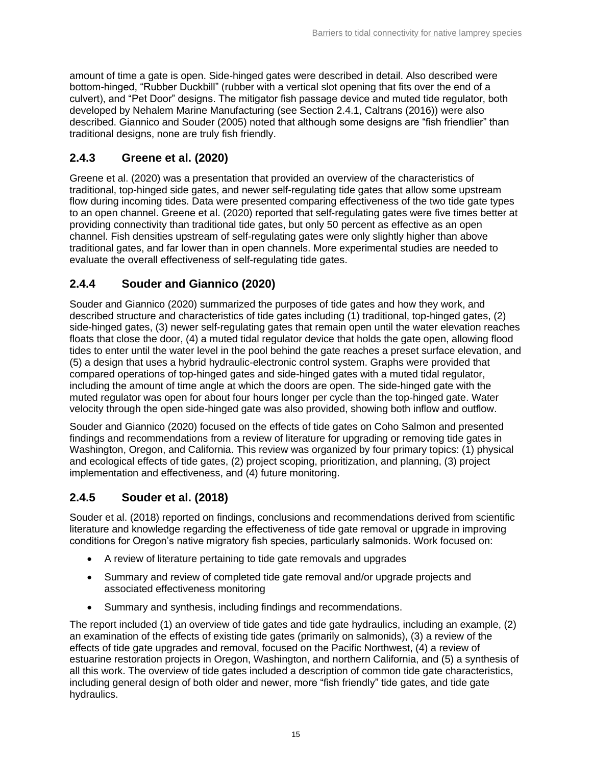amount of time a gate is open. Side-hinged gates were described in detail. Also described were bottom-hinged, "Rubber Duckbill" (rubber with a vertical slot opening that fits over the end of a culvert), and "Pet Door" designs. The mitigator fish passage device and muted tide regulator, both developed by Nehalem Marine Manufacturing (see Section [2.4.1,](#page-17-0) Caltrans (2016)) were also described. Giannico and Souder (2005) noted that although some designs are "fish friendlier" than traditional designs, none are truly fish friendly.

## <span id="page-18-0"></span>**2.4.3 Greene et al. (2020)**

Greene et al. (2020) was a presentation that provided an overview of the characteristics of traditional, top-hinged side gates, and newer self-regulating tide gates that allow some upstream flow during incoming tides. Data were presented comparing effectiveness of the two tide gate types to an open channel. Greene et al. (2020) reported that self-regulating gates were five times better at providing connectivity than traditional tide gates, but only 50 percent as effective as an open channel. Fish densities upstream of self-regulating gates were only slightly higher than above traditional gates, and far lower than in open channels. More experimental studies are needed to evaluate the overall effectiveness of self-regulating tide gates.

## <span id="page-18-1"></span>**2.4.4 Souder and Giannico (2020)**

Souder and Giannico (2020) summarized the purposes of tide gates and how they work, and described structure and characteristics of tide gates including (1) traditional, top-hinged gates, (2) side-hinged gates, (3) newer self-regulating gates that remain open until the water elevation reaches floats that close the door, (4) a muted tidal regulator device that holds the gate open, allowing flood tides to enter until the water level in the pool behind the gate reaches a preset surface elevation, and (5) a design that uses a hybrid hydraulic-electronic control system. Graphs were provided that compared operations of top-hinged gates and side-hinged gates with a muted tidal regulator, including the amount of time angle at which the doors are open. The side-hinged gate with the muted regulator was open for about four hours longer per cycle than the top-hinged gate. Water velocity through the open side-hinged gate was also provided, showing both inflow and outflow.

Souder and Giannico (2020) focused on the effects of tide gates on Coho Salmon and presented findings and recommendations from a review of literature for upgrading or removing tide gates in Washington, Oregon, and California. This review was organized by four primary topics: (1) physical and ecological effects of tide gates, (2) project scoping, prioritization, and planning, (3) project implementation and effectiveness, and (4) future monitoring.

## <span id="page-18-2"></span>**2.4.5 Souder et al. (2018)**

Souder et al. (2018) reported on findings, conclusions and recommendations derived from scientific literature and knowledge regarding the effectiveness of tide gate removal or upgrade in improving conditions for Oregon's native migratory fish species, particularly salmonids. Work focused on:

- A review of literature pertaining to tide gate removals and upgrades
- Summary and review of completed tide gate removal and/or upgrade projects and associated effectiveness monitoring
- Summary and synthesis, including findings and recommendations.

The report included (1) an overview of tide gates and tide gate hydraulics, including an example, (2) an examination of the effects of existing tide gates (primarily on salmonids), (3) a review of the effects of tide gate upgrades and removal, focused on the Pacific Northwest, (4) a review of estuarine restoration projects in Oregon, Washington, and northern California, and (5) a synthesis of all this work. The overview of tide gates included a description of common tide gate characteristics, including general design of both older and newer, more "fish friendly" tide gates, and tide gate hydraulics.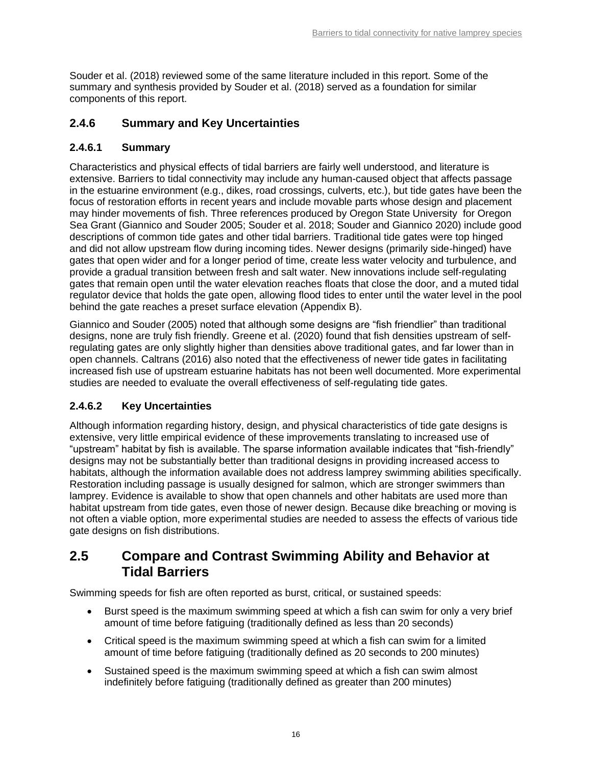Souder et al. (2018) reviewed some of the same literature included in this report. Some of the summary and synthesis provided by Souder et al. (2018) served as a foundation for similar components of this report.

### <span id="page-19-0"></span>**2.4.6 Summary and Key Uncertainties**

### **2.4.6.1 Summary**

Characteristics and physical effects of tidal barriers are fairly well understood, and literature is extensive. Barriers to tidal connectivity may include any human-caused object that affects passage in the estuarine environment (e.g., dikes, road crossings, culverts, etc.), but tide gates have been the focus of restoration efforts in recent years and include movable parts whose design and placement may hinder movements of fish. Three references produced by Oregon State University for Oregon Sea Grant (Giannico and Souder 2005; Souder et al. 2018; Souder and Giannico 2020) include good descriptions of common tide gates and other tidal barriers. Traditional tide gates were top hinged and did not allow upstream flow during incoming tides. Newer designs (primarily side-hinged) have gates that open wider and for a longer period of time, create less water velocity and turbulence, and provide a gradual transition between fresh and salt water. New innovations include self-regulating gates that remain open until the water elevation reaches floats that close the door, and a muted tidal regulator device that holds the gate open, allowing flood tides to enter until the water level in the pool behind the gate reaches a preset surface elevation (Appendix B).

Giannico and Souder (2005) noted that although some designs are "fish friendlier" than traditional designs, none are truly fish friendly. Greene et al. (2020) found that fish densities upstream of selfregulating gates are only slightly higher than densities above traditional gates, and far lower than in open channels. Caltrans (2016) also noted that the effectiveness of newer tide gates in facilitating increased fish use of upstream estuarine habitats has not been well documented. More experimental studies are needed to evaluate the overall effectiveness of self-regulating tide gates.

## **2.4.6.2 Key Uncertainties**

Although information regarding history, design, and physical characteristics of tide gate designs is extensive, very little empirical evidence of these improvements translating to increased use of "upstream" habitat by fish is available. The sparse information available indicates that "fish-friendly" designs may not be substantially better than traditional designs in providing increased access to habitats, although the information available does not address lamprey swimming abilities specifically. Restoration including passage is usually designed for salmon, which are stronger swimmers than lamprey. Evidence is available to show that open channels and other habitats are used more than habitat upstream from tide gates, even those of newer design. Because dike breaching or moving is not often a viable option, more experimental studies are needed to assess the effects of various tide gate designs on fish distributions.

## <span id="page-19-1"></span>**2.5 Compare and Contrast Swimming Ability and Behavior at Tidal Barriers**

Swimming speeds for fish are often reported as burst, critical, or sustained speeds:

- Burst speed is the maximum swimming speed at which a fish can swim for only a very brief amount of time before fatiguing (traditionally defined as less than 20 seconds)
- Critical speed is the maximum swimming speed at which a fish can swim for a limited amount of time before fatiguing (traditionally defined as 20 seconds to 200 minutes)
- Sustained speed is the maximum swimming speed at which a fish can swim almost indefinitely before fatiguing (traditionally defined as greater than 200 minutes)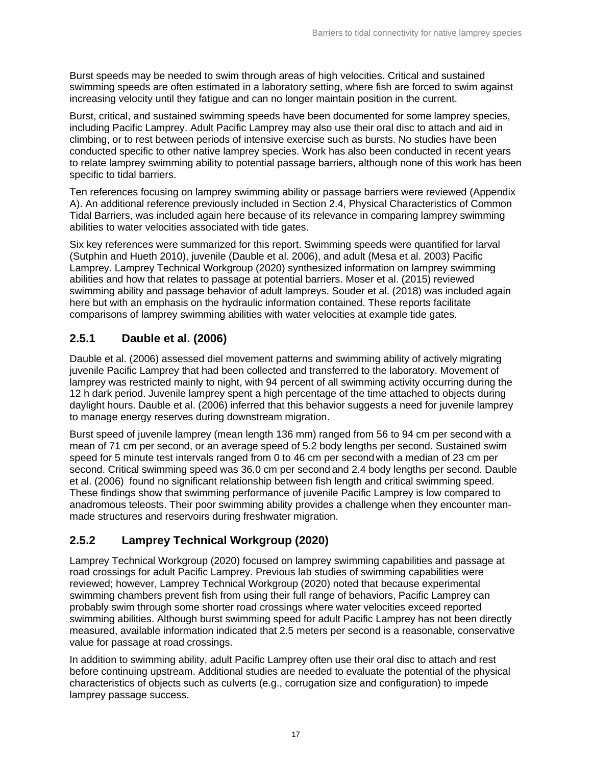Burst speeds may be needed to swim through areas of high velocities. Critical and sustained swimming speeds are often estimated in a laboratory setting, where fish are forced to swim against increasing velocity until they fatigue and can no longer maintain position in the current.

Burst, critical, and sustained swimming speeds have been documented for some lamprey species, including Pacific Lamprey. Adult Pacific Lamprey may also use their oral disc to attach and aid in climbing, or to rest between periods of intensive exercise such as bursts. No studies have been conducted specific to other native lamprey species. Work has also been conducted in recent years to relate lamprey swimming ability to potential passage barriers, although none of this work has been specific to tidal barriers.

Ten references focusing on lamprey swimming ability or passage barriers were reviewed (Appendix A). An additional reference previously included in Section [2.4,](#page-16-1) Physical Characteristics of Common Tidal Barriers, was included again here because of its relevance in comparing lamprey swimming abilities to water velocities associated with tide gates.

Six key references were summarized for this report. Swimming speeds were quantified for larval (Sutphin and Hueth 2010), juvenile (Dauble et al. 2006), and adult (Mesa et al. 2003) Pacific Lamprey. Lamprey Technical Workgroup (2020) synthesized information on lamprey swimming abilities and how that relates to passage at potential barriers. Moser et al. (2015) reviewed swimming ability and passage behavior of adult lampreys. Souder et al. (2018) was included again here but with an emphasis on the hydraulic information contained. These reports facilitate comparisons of lamprey swimming abilities with water velocities at example tide gates.

## <span id="page-20-0"></span>**2.5.1 Dauble et al. (2006)**

Dauble et al. (2006) assessed diel movement patterns and swimming ability of actively migrating juvenile Pacific Lamprey that had been collected and transferred to the laboratory. Movement of lamprey was restricted mainly to night, with 94 percent of all swimming activity occurring during the 12 h dark period. Juvenile lamprey spent a high percentage of the time attached to objects during daylight hours. Dauble et al. (2006) inferred that this behavior suggests a need for juvenile lamprey to manage energy reserves during downstream migration.

Burst speed of juvenile lamprey (mean length 136 mm) ranged from 56 to 94 cm per second with a mean of 71 cm per second, or an average speed of 5.2 body lengths per second. Sustained swim speed for 5 minute test intervals ranged from 0 to 46 cm per second with a median of 23 cm per second. Critical swimming speed was 36.0 cm per second and 2.4 body lengths per second. Dauble et al. (2006) found no significant relationship between fish length and critical swimming speed. These findings show that swimming performance of juvenile Pacific Lamprey is low compared to anadromous teleosts. Their poor swimming ability provides a challenge when they encounter manmade structures and reservoirs during freshwater migration.

## <span id="page-20-1"></span>**2.5.2 Lamprey Technical Workgroup (2020)**

Lamprey Technical Workgroup (2020) focused on lamprey swimming capabilities and passage at road crossings for adult Pacific Lamprey. Previous lab studies of swimming capabilities were reviewed; however, Lamprey Technical Workgroup (2020) noted that because experimental swimming chambers prevent fish from using their full range of behaviors, Pacific Lamprey can probably swim through some shorter road crossings where water velocities exceed reported swimming abilities. Although burst swimming speed for adult Pacific Lamprey has not been directly measured, available information indicated that 2.5 meters per second is a reasonable, conservative value for passage at road crossings.

In addition to swimming ability, adult Pacific Lamprey often use their oral disc to attach and rest before continuing upstream. Additional studies are needed to evaluate the potential of the physical characteristics of objects such as culverts (e.g., corrugation size and configuration) to impede lamprey passage success.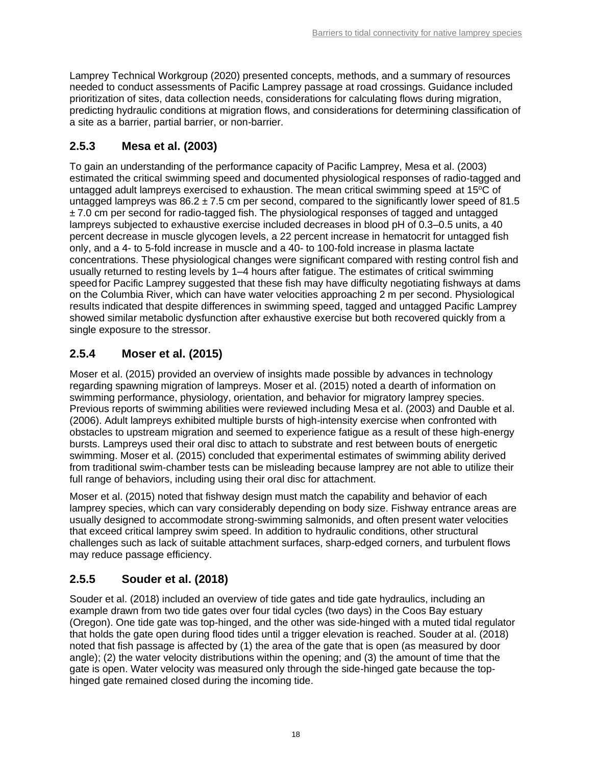Lamprey Technical Workgroup (2020) presented concepts, methods, and a summary of resources needed to conduct assessments of Pacific Lamprey passage at road crossings. Guidance included prioritization of sites, data collection needs, considerations for calculating flows during migration, predicting hydraulic conditions at migration flows, and considerations for determining classification of a site as a barrier, partial barrier, or non-barrier.

## <span id="page-21-0"></span>**2.5.3 Mesa et al. (2003)**

To gain an understanding of the performance capacity of Pacific Lamprey, Mesa et al. (2003) estimated the critical swimming speed and documented physiological responses of radio-tagged and untagged adult lampreys exercised to exhaustion. The mean critical swimming speed at  $15^{\circ}$ C of untagged lampreys was  $86.2 \pm 7.5$  cm per second, compared to the significantly lower speed of 81.5  $± 7.0$  cm per second for radio-tagged fish. The physiological responses of tagged and untagged lampreys subjected to exhaustive exercise included decreases in blood pH of 0.3–0.5 units, a 40 percent decrease in muscle glycogen levels, a 22 percent increase in hematocrit for untagged fish only, and a 4- to 5-fold increase in muscle and a 40- to 100-fold increase in plasma lactate concentrations. These physiological changes were significant compared with resting control fish and usually returned to resting levels by 1–4 hours after fatigue. The estimates of critical swimming speedfor Pacific Lamprey suggested that these fish may have difficulty negotiating fishways at dams on the Columbia River, which can have water velocities approaching 2 m per second. Physiological results indicated that despite differences in swimming speed, tagged and untagged Pacific Lamprey showed similar metabolic dysfunction after exhaustive exercise but both recovered quickly from a single exposure to the stressor.

## <span id="page-21-1"></span>**2.5.4 Moser et al. (2015)**

Moser et al. (2015) provided an overview of insights made possible by advances in technology regarding spawning migration of lampreys. Moser et al. (2015) noted a dearth of information on swimming performance, physiology, orientation, and behavior for migratory lamprey species. Previous reports of swimming abilities were reviewed including Mesa et al. (2003) and Dauble et al. (2006). Adult lampreys exhibited multiple bursts of high-intensity exercise when confronted with obstacles to upstream migration and seemed to experience fatigue as a result of these high-energy bursts. Lampreys used their oral disc to attach to substrate and rest between bouts of energetic swimming. Moser et al. (2015) concluded that experimental estimates of swimming ability derived from traditional swim-chamber tests can be misleading because lamprey are not able to utilize their full range of behaviors, including using their oral disc for attachment.

Moser et al. (2015) noted that fishway design must match the capability and behavior of each lamprey species, which can vary considerably depending on body size. Fishway entrance areas are usually designed to accommodate strong-swimming salmonids, and often present water velocities that exceed critical lamprey swim speed. In addition to hydraulic conditions, other structural challenges such as lack of suitable attachment surfaces, sharp-edged corners, and turbulent flows may reduce passage efficiency.

## <span id="page-21-2"></span>**2.5.5 Souder et al. (2018)**

Souder et al. (2018) included an overview of tide gates and tide gate hydraulics, including an example drawn from two tide gates over four tidal cycles (two days) in the Coos Bay estuary (Oregon). One tide gate was top-hinged, and the other was side-hinged with a muted tidal regulator that holds the gate open during flood tides until a trigger elevation is reached. Souder at al. (2018) noted that fish passage is affected by (1) the area of the gate that is open (as measured by door angle); (2) the water velocity distributions within the opening; and (3) the amount of time that the gate is open. Water velocity was measured only through the side-hinged gate because the tophinged gate remained closed during the incoming tide.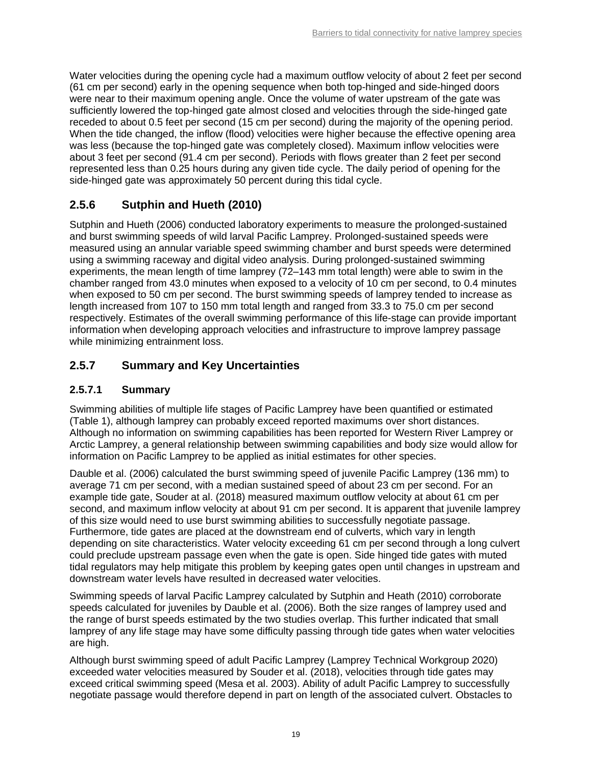Water velocities during the opening cycle had a maximum outflow velocity of about 2 feet per second (61 cm per second) early in the opening sequence when both top-hinged and side-hinged doors were near to their maximum opening angle. Once the volume of water upstream of the gate was sufficiently lowered the top-hinged gate almost closed and velocities through the side-hinged gate receded to about 0.5 feet per second (15 cm per second) during the majority of the opening period. When the tide changed, the inflow (flood) velocities were higher because the effective opening area was less (because the top-hinged gate was completely closed). Maximum inflow velocities were about 3 feet per second (91.4 cm per second). Periods with flows greater than 2 feet per second represented less than 0.25 hours during any given tide cycle. The daily period of opening for the side-hinged gate was approximately 50 percent during this tidal cycle.

## <span id="page-22-0"></span>**2.5.6 Sutphin and Hueth (2010)**

Sutphin and Hueth (2006) conducted laboratory experiments to measure the prolonged-sustained and burst swimming speeds of wild larval Pacific Lamprey. Prolonged-sustained speeds were measured using an annular variable speed swimming chamber and burst speeds were determined using a swimming raceway and digital video analysis. During prolonged-sustained swimming experiments, the mean length of time lamprey (72–143 mm total length) were able to swim in the chamber ranged from 43.0 minutes when exposed to a velocity of 10 cm per second, to 0.4 minutes when exposed to 50 cm per second. The burst swimming speeds of lamprey tended to increase as length increased from 107 to 150 mm total length and ranged from 33.3 to 75.0 cm per second respectively. Estimates of the overall swimming performance of this life-stage can provide important information when developing approach velocities and infrastructure to improve lamprey passage while minimizing entrainment loss.

### <span id="page-22-1"></span>**2.5.7 Summary and Key Uncertainties**

#### **2.5.7.1 Summary**

Swimming abilities of multiple life stages of Pacific Lamprey have been quantified or estimated [\(Table 1\)](#page-23-1), although lamprey can probably exceed reported maximums over short distances. Although no information on swimming capabilities has been reported for Western River Lamprey or Arctic Lamprey, a general relationship between swimming capabilities and body size would allow for information on Pacific Lamprey to be applied as initial estimates for other species.

Dauble et al. (2006) calculated the burst swimming speed of juvenile Pacific Lamprey (136 mm) to average 71 cm per second, with a median sustained speed of about 23 cm per second. For an example tide gate, Souder at al. (2018) measured maximum outflow velocity at about 61 cm per second, and maximum inflow velocity at about 91 cm per second. It is apparent that juvenile lamprey of this size would need to use burst swimming abilities to successfully negotiate passage. Furthermore, tide gates are placed at the downstream end of culverts, which vary in length depending on site characteristics. Water velocity exceeding 61 cm per second through a long culvert could preclude upstream passage even when the gate is open. Side hinged tide gates with muted tidal regulators may help mitigate this problem by keeping gates open until changes in upstream and downstream water levels have resulted in decreased water velocities.

Swimming speeds of larval Pacific Lamprey calculated by Sutphin and Heath (2010) corroborate speeds calculated for juveniles by Dauble et al. (2006). Both the size ranges of lamprey used and the range of burst speeds estimated by the two studies overlap. This further indicated that small lamprey of any life stage may have some difficulty passing through tide gates when water velocities are high.

Although burst swimming speed of adult Pacific Lamprey (Lamprey Technical Workgroup 2020) exceeded water velocities measured by Souder et al. (2018), velocities through tide gates may exceed critical swimming speed (Mesa et al. 2003). Ability of adult Pacific Lamprey to successfully negotiate passage would therefore depend in part on length of the associated culvert. Obstacles to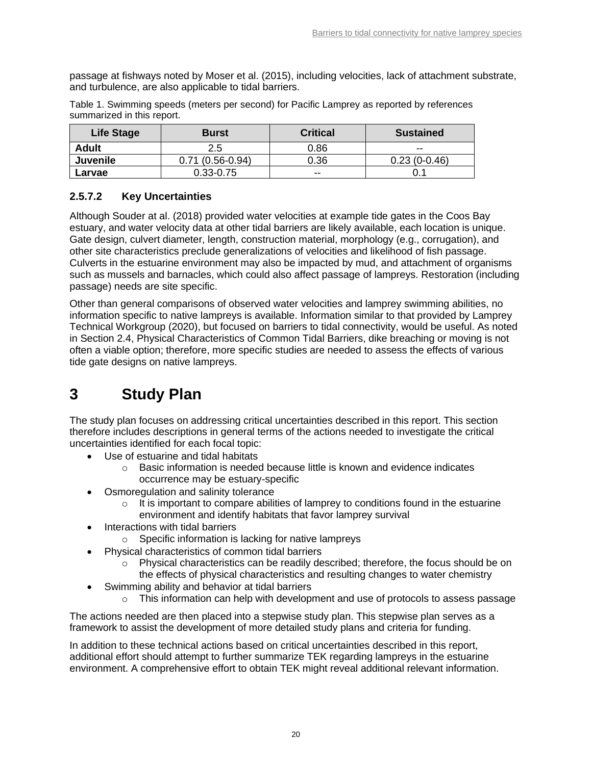passage at fishways noted by Moser et al. (2015), including velocities, lack of attachment substrate, and turbulence, are also applicable to tidal barriers.

| <b>Life Stage</b> | <b>Burst</b>      | <b>Critical</b> | <b>Sustained</b> |
|-------------------|-------------------|-----------------|------------------|
| <b>Adult</b>      | 2.5               | 0.86            | $- -$            |
| <b>Juvenile</b>   | $0.71(0.56-0.94)$ | 0.36            | $0.23(0-0.46)$   |
| Larvae            | $0.33 - 0.75$     | $- -$           |                  |

<span id="page-23-1"></span>Table 1. Swimming speeds (meters per second) for Pacific Lamprey as reported by references summarized in this report.

### **2.5.7.2 Key Uncertainties**

Although Souder at al. (2018) provided water velocities at example tide gates in the Coos Bay estuary, and water velocity data at other tidal barriers are likely available, each location is unique. Gate design, culvert diameter, length, construction material, morphology (e.g., corrugation), and other site characteristics preclude generalizations of velocities and likelihood of fish passage. Culverts in the estuarine environment may also be impacted by mud, and attachment of organisms such as mussels and barnacles, which could also affect passage of lampreys. Restoration (including passage) needs are site specific.

Other than general comparisons of observed water velocities and lamprey swimming abilities, no information specific to native lampreys is available. Information similar to that provided by Lamprey Technical Workgroup (2020), but focused on barriers to tidal connectivity, would be useful. As noted in Section [2.4,](#page-16-1) Physical Characteristics of Common Tidal Barriers, dike breaching or moving is not often a viable option; therefore, more specific studies are needed to assess the effects of various tide gate designs on native lampreys.

## <span id="page-23-0"></span>**3 Study Plan**

The study plan focuses on addressing critical uncertainties described in this report. This section therefore includes descriptions in general terms of the actions needed to investigate the critical uncertainties identified for each focal topic:

- Use of estuarine and tidal habitats
	- o Basic information is needed because little is known and evidence indicates occurrence may be estuary-specific
- Osmoregulation and salinity tolerance
	- $\circ$  It is important to compare abilities of lamprey to conditions found in the estuarine environment and identify habitats that favor lamprey survival
- Interactions with tidal barriers
	- o Specific information is lacking for native lampreys
- Physical characteristics of common tidal barriers
	- $\circ$  Physical characteristics can be readily described; therefore, the focus should be on the effects of physical characteristics and resulting changes to water chemistry
- Swimming ability and behavior at tidal barriers
	- $\circ$  This information can help with development and use of protocols to assess passage

The actions needed are then placed into a stepwise study plan. This stepwise plan serves as a framework to assist the development of more detailed study plans and criteria for funding.

In addition to these technical actions based on critical uncertainties described in this report, additional effort should attempt to further summarize TEK regarding lampreys in the estuarine environment. A comprehensive effort to obtain TEK might reveal additional relevant information.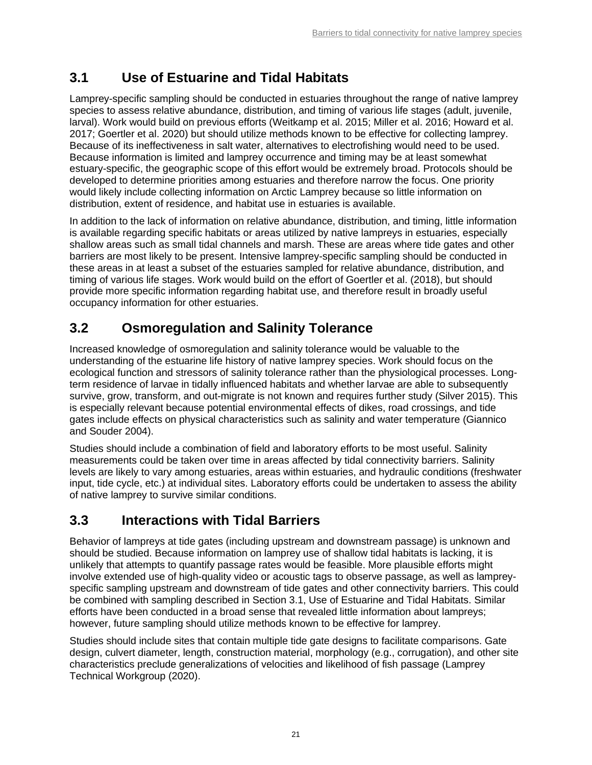## <span id="page-24-0"></span>**3.1 Use of Estuarine and Tidal Habitats**

Lamprey-specific sampling should be conducted in estuaries throughout the range of native lamprey species to assess relative abundance, distribution, and timing of various life stages (adult, juvenile, larval). Work would build on previous efforts (Weitkamp et al. 2015; Miller et al. 2016; Howard et al. 2017; Goertler et al. 2020) but should utilize methods known to be effective for collecting lamprey. Because of its ineffectiveness in salt water, alternatives to electrofishing would need to be used. Because information is limited and lamprey occurrence and timing may be at least somewhat estuary-specific, the geographic scope of this effort would be extremely broad. Protocols should be developed to determine priorities among estuaries and therefore narrow the focus. One priority would likely include collecting information on Arctic Lamprey because so little information on distribution, extent of residence, and habitat use in estuaries is available.

In addition to the lack of information on relative abundance, distribution, and timing, little information is available regarding specific habitats or areas utilized by native lampreys in estuaries, especially shallow areas such as small tidal channels and marsh. These are areas where tide gates and other barriers are most likely to be present. Intensive lamprey-specific sampling should be conducted in these areas in at least a subset of the estuaries sampled for relative abundance, distribution, and timing of various life stages. Work would build on the effort of Goertler et al. (2018), but should provide more specific information regarding habitat use, and therefore result in broadly useful occupancy information for other estuaries.

## <span id="page-24-1"></span>**3.2 Osmoregulation and Salinity Tolerance**

Increased knowledge of osmoregulation and salinity tolerance would be valuable to the understanding of the estuarine life history of native lamprey species. Work should focus on the ecological function and stressors of salinity tolerance rather than the physiological processes. Longterm residence of larvae in tidally influenced habitats and whether larvae are able to subsequently survive, grow, transform, and out-migrate is not known and requires further study (Silver 2015). This is especially relevant because potential environmental effects of dikes, road crossings, and tide gates include effects on physical characteristics such as salinity and water temperature (Giannico and Souder 2004).

Studies should include a combination of field and laboratory efforts to be most useful. Salinity measurements could be taken over time in areas affected by tidal connectivity barriers. Salinity levels are likely to vary among estuaries, areas within estuaries, and hydraulic conditions (freshwater input, tide cycle, etc.) at individual sites. Laboratory efforts could be undertaken to assess the ability of native lamprey to survive similar conditions.

## <span id="page-24-2"></span>**3.3 Interactions with Tidal Barriers**

Behavior of lampreys at tide gates (including upstream and downstream passage) is unknown and should be studied. Because information on lamprey use of shallow tidal habitats is lacking, it is unlikely that attempts to quantify passage rates would be feasible. More plausible efforts might involve extended use of high-quality video or acoustic tags to observe passage, as well as lampreyspecific sampling upstream and downstream of tide gates and other connectivity barriers. This could be combined with sampling described in Section [3.1,](#page-24-0) Use of Estuarine and Tidal Habitats. Similar efforts have been conducted in a broad sense that revealed little information about lampreys; however, future sampling should utilize methods known to be effective for lamprey.

Studies should include sites that contain multiple tide gate designs to facilitate comparisons. Gate design, culvert diameter, length, construction material, morphology (e.g., corrugation), and other site characteristics preclude generalizations of velocities and likelihood of fish passage (Lamprey Technical Workgroup (2020).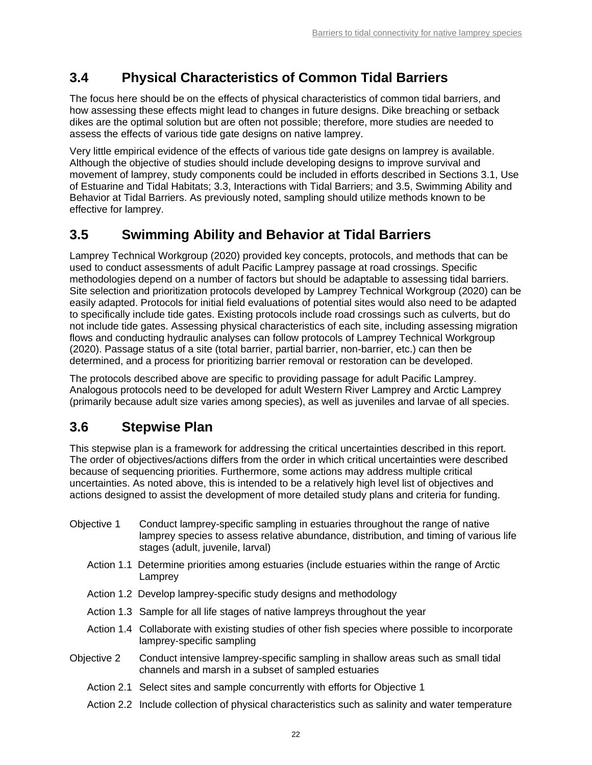## <span id="page-25-0"></span>**3.4 Physical Characteristics of Common Tidal Barriers**

The focus here should be on the effects of physical characteristics of common tidal barriers, and how assessing these effects might lead to changes in future designs. Dike breaching or setback dikes are the optimal solution but are often not possible; therefore, more studies are needed to assess the effects of various tide gate designs on native lamprey.

Very little empirical evidence of the effects of various tide gate designs on lamprey is available. Although the objective of studies should include developing designs to improve survival and movement of lamprey, study components could be included in efforts described in Sections [3.1,](#page-24-0) Use of Estuarine and Tidal Habitats; [3.3,](#page-24-2) Interactions with Tidal Barriers; and [3.5,](#page-25-1) Swimming Ability and Behavior at Tidal Barriers. As previously noted, sampling should utilize methods known to be effective for lamprey.

## <span id="page-25-1"></span>**3.5 Swimming Ability and Behavior at Tidal Barriers**

Lamprey Technical Workgroup (2020) provided key concepts, protocols, and methods that can be used to conduct assessments of adult Pacific Lamprey passage at road crossings. Specific methodologies depend on a number of factors but should be adaptable to assessing tidal barriers. Site selection and prioritization protocols developed by Lamprey Technical Workgroup (2020) can be easily adapted. Protocols for initial field evaluations of potential sites would also need to be adapted to specifically include tide gates. Existing protocols include road crossings such as culverts, but do not include tide gates. Assessing physical characteristics of each site, including assessing migration flows and conducting hydraulic analyses can follow protocols of Lamprey Technical Workgroup (2020). Passage status of a site (total barrier, partial barrier, non-barrier, etc.) can then be determined, and a process for prioritizing barrier removal or restoration can be developed.

The protocols described above are specific to providing passage for adult Pacific Lamprey. Analogous protocols need to be developed for adult Western River Lamprey and Arctic Lamprey (primarily because adult size varies among species), as well as juveniles and larvae of all species.

## <span id="page-25-2"></span>**3.6 Stepwise Plan**

This stepwise plan is a framework for addressing the critical uncertainties described in this report. The order of objectives/actions differs from the order in which critical uncertainties were described because of sequencing priorities. Furthermore, some actions may address multiple critical uncertainties. As noted above, this is intended to be a relatively high level list of objectives and actions designed to assist the development of more detailed study plans and criteria for funding.

- Objective 1 Conduct lamprey-specific sampling in estuaries throughout the range of native lamprey species to assess relative abundance, distribution, and timing of various life stages (adult, juvenile, larval)
	- Action 1.1 Determine priorities among estuaries (include estuaries within the range of Arctic Lamprey
	- Action 1.2 Develop lamprey-specific study designs and methodology
	- Action 1.3 Sample for all life stages of native lampreys throughout the year
	- Action 1.4 Collaborate with existing studies of other fish species where possible to incorporate lamprey-specific sampling
- Objective 2 Conduct intensive lamprey-specific sampling in shallow areas such as small tidal channels and marsh in a subset of sampled estuaries
	- Action 2.1 Select sites and sample concurrently with efforts for Objective 1
	- Action 2.2 Include collection of physical characteristics such as salinity and water temperature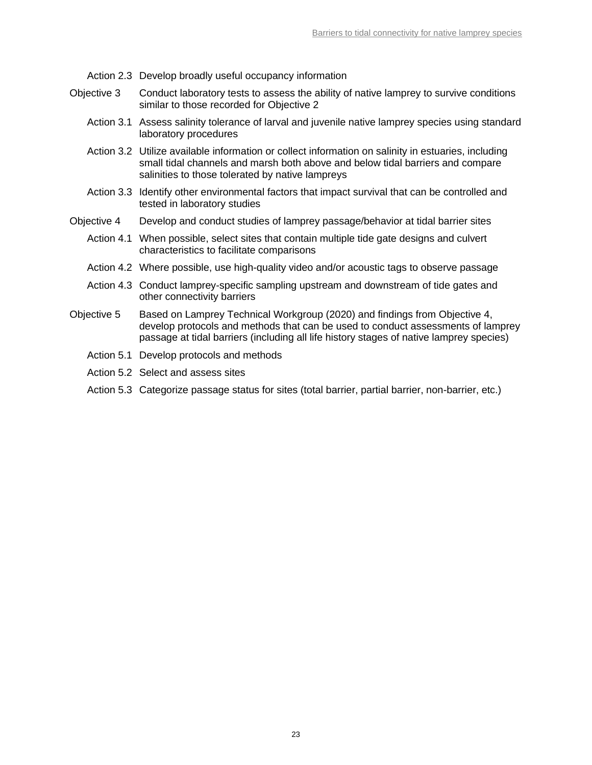- Action 2.3 Develop broadly useful occupancy information
- Objective 3 Conduct laboratory tests to assess the ability of native lamprey to survive conditions similar to those recorded for Objective 2
	- Action 3.1 Assess salinity tolerance of larval and juvenile native lamprey species using standard laboratory procedures
	- Action 3.2 Utilize available information or collect information on salinity in estuaries, including small tidal channels and marsh both above and below tidal barriers and compare salinities to those tolerated by native lampreys
	- Action 3.3 Identify other environmental factors that impact survival that can be controlled and tested in laboratory studies
- Objective 4 Develop and conduct studies of lamprey passage/behavior at tidal barrier sites
	- Action 4.1 When possible, select sites that contain multiple tide gate designs and culvert characteristics to facilitate comparisons
	- Action 4.2 Where possible, use high-quality video and/or acoustic tags to observe passage
	- Action 4.3 Conduct lamprey-specific sampling upstream and downstream of tide gates and other connectivity barriers
- Objective 5 Based on Lamprey Technical Workgroup (2020) and findings from Objective 4, develop protocols and methods that can be used to conduct assessments of lamprey passage at tidal barriers (including all life history stages of native lamprey species)
	- Action 5.1 Develop protocols and methods
	- Action 5.2 Select and assess sites
	- Action 5.3 Categorize passage status for sites (total barrier, partial barrier, non-barrier, etc.)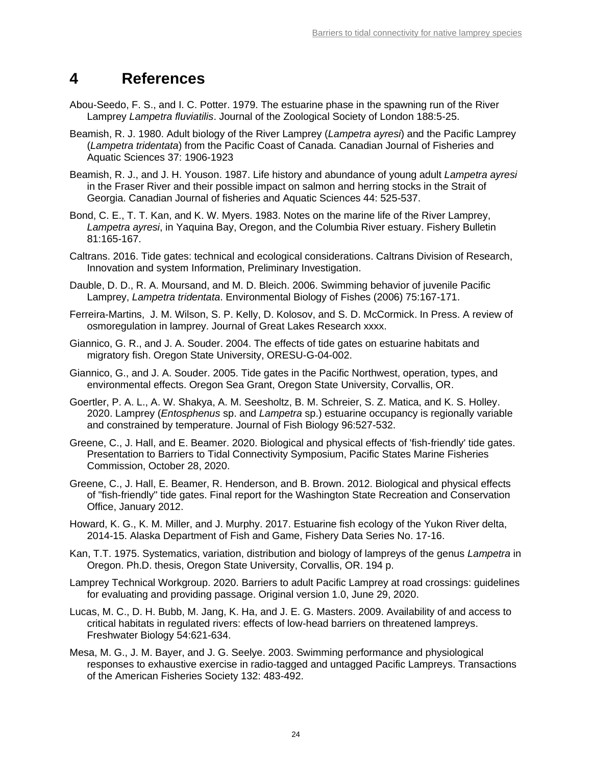## <span id="page-27-0"></span>**4 References**

- Abou-Seedo, F. S., and I. C. Potter. 1979. The estuarine phase in the spawning run of the River Lamprey *Lampetra fluviatilis*. Journal of the Zoological Society of London 188:5-25.
- Beamish, R. J. 1980. Adult biology of the River Lamprey (*Lampetra ayresi*) and the Pacific Lamprey (*Lampetra tridentata*) from the Pacific Coast of Canada. Canadian Journal of Fisheries and Aquatic Sciences 37: 1906-1923
- Beamish, R. J., and J. H. Youson. 1987. Life history and abundance of young adult *Lampetra ayresi* in the Fraser River and their possible impact on salmon and herring stocks in the Strait of Georgia. Canadian Journal of fisheries and Aquatic Sciences 44: 525-537.
- Bond, C. E., T. T. Kan, and K. W. Myers. 1983. Notes on the marine life of the River Lamprey, *Lampetra ayresi*, in Yaquina Bay, Oregon, and the Columbia River estuary. Fishery Bulletin 81:165-167.
- Caltrans. 2016. Tide gates: technical and ecological considerations. Caltrans Division of Research, Innovation and system Information, Preliminary Investigation.
- Dauble, D. D., R. A. Moursand, and M. D. Bleich. 2006. Swimming behavior of juvenile Pacific Lamprey, *Lampetra tridentata*. Environmental Biology of Fishes (2006) 75:167-171.
- Ferreira-Martins, J. M. Wilson, S. P. Kelly, D. Kolosov, and S. D. McCormick. In Press. A review of osmoregulation in lamprey. Journal of Great Lakes Research xxxx.
- Giannico, G. R., and J. A. Souder. 2004. The effects of tide gates on estuarine habitats and migratory fish. Oregon State University, ORESU-G-04-002.
- Giannico, G., and J. A. Souder. 2005. Tide gates in the Pacific Northwest, operation, types, and environmental effects. Oregon Sea Grant, Oregon State University, Corvallis, OR.
- Goertler, P. A. L., A. W. Shakya, A. M. Seesholtz, B. M. Schreier, S. Z. Matica, and K. S. Holley. 2020. Lamprey (*Entosphenus* sp. and *Lampetra* sp.) estuarine occupancy is regionally variable and constrained by temperature. Journal of Fish Biology 96:527-532.
- Greene, C., J. Hall, and E. Beamer. 2020. Biological and physical effects of 'fish-friendly' tide gates. Presentation to Barriers to Tidal Connectivity Symposium, Pacific States Marine Fisheries Commission, October 28, 2020.
- Greene, C., J. Hall, E. Beamer, R. Henderson, and B. Brown. 2012. Biological and physical effects of "fish-friendly" tide gates. Final report for the Washington State Recreation and Conservation Office, January 2012.
- Howard, K. G., K. M. Miller, and J. Murphy. 2017. Estuarine fish ecology of the Yukon River delta, 2014-15. Alaska Department of Fish and Game, Fishery Data Series No. 17-16.
- Kan, T.T. 1975. Systematics, variation, distribution and biology of lampreys of the genus *Lampetra* in Oregon. Ph.D. thesis, Oregon State University, Corvallis, OR. 194 p.
- Lamprey Technical Workgroup. 2020. Barriers to adult Pacific Lamprey at road crossings: guidelines for evaluating and providing passage. Original version 1.0, June 29, 2020.
- Lucas, M. C., D. H. Bubb, M. Jang, K. Ha, and J. E. G. Masters. 2009. Availability of and access to critical habitats in regulated rivers: effects of low-head barriers on threatened lampreys. Freshwater Biology 54:621-634.
- Mesa, M. G., J. M. Bayer, and J. G. Seelye. 2003. Swimming performance and physiological responses to exhaustive exercise in radio-tagged and untagged Pacific Lampreys. Transactions of the American Fisheries Society 132: 483-492.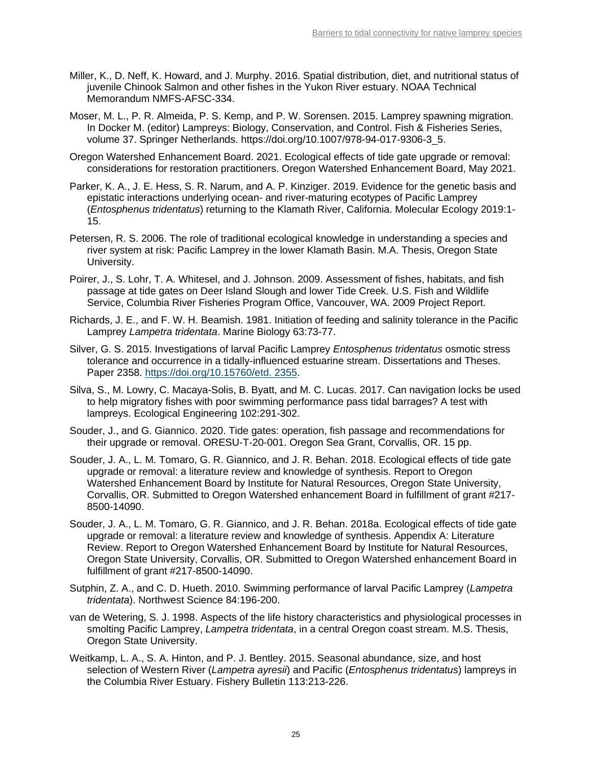- Miller, K., D. Neff, K. Howard, and J. Murphy. 2016. Spatial distribution, diet, and nutritional status of juvenile Chinook Salmon and other fishes in the Yukon River estuary. NOAA Technical Memorandum NMFS-AFSC-334.
- Moser, M. L., P. R. Almeida, P. S. Kemp, and P. W. Sorensen. 2015. Lamprey spawning migration. In Docker M. (editor) Lampreys: Biology, Conservation, and Control. Fish & Fisheries Series, volume 37. Springer Netherlands. https://doi.org/10.1007/978-94-017-9306-3\_5.
- Oregon Watershed Enhancement Board. 2021. Ecological effects of tide gate upgrade or removal: considerations for restoration practitioners. Oregon Watershed Enhancement Board, May 2021.
- Parker, K. A., J. E. Hess, S. R. Narum, and A. P. Kinziger. 2019. Evidence for the genetic basis and epistatic interactions underlying ocean- and river-maturing ecotypes of Pacific Lamprey (*Entosphenus tridentatus*) returning to the Klamath River, California. Molecular Ecology 2019:1- 15.
- Petersen, R. S. 2006. The role of traditional ecological knowledge in understanding a species and river system at risk: Pacific Lamprey in the lower Klamath Basin. M.A. Thesis, Oregon State University.
- Poirer, J., S. Lohr, T. A. Whitesel, and J. Johnson. 2009. Assessment of fishes, habitats, and fish passage at tide gates on Deer Island Slough and lower Tide Creek. U.S. Fish and Wildlife Service, Columbia River Fisheries Program Office, Vancouver, WA. 2009 Project Report.
- Richards, J. E., and F. W. H. Beamish. 1981. Initiation of feeding and salinity tolerance in the Pacific Lamprey *Lampetra tridentata*. Marine Biology 63:73-77.
- Silver, G. S. 2015. Investigations of larval Pacific Lamprey *Entosphenus tridentatus* osmotic stress tolerance and occurrence in a tidally-influenced estuarine stream. Dissertations and Theses. Paper 2358. [https://doi.org/10.15760/etd. 2355.](https://doi.org/10.15760/etd.%202355)
- Silva, S., M. Lowry, C. Macaya-Solis, B. Byatt, and M. C. Lucas. 2017. Can navigation locks be used to help migratory fishes with poor swimming performance pass tidal barrages? A test with lampreys. Ecological Engineering 102:291-302.
- Souder, J., and G. Giannico. 2020. Tide gates: operation, fish passage and recommendations for their upgrade or removal. ORESU-T-20-001. Oregon Sea Grant, Corvallis, OR. 15 pp.
- Souder, J. A., L. M. Tomaro, G. R. Giannico, and J. R. Behan. 2018. Ecological effects of tide gate upgrade or removal: a literature review and knowledge of synthesis. Report to Oregon Watershed Enhancement Board by Institute for Natural Resources, Oregon State University, Corvallis, OR. Submitted to Oregon Watershed enhancement Board in fulfillment of grant #217- 8500-14090.
- Souder, J. A., L. M. Tomaro, G. R. Giannico, and J. R. Behan. 2018a. Ecological effects of tide gate upgrade or removal: a literature review and knowledge of synthesis. Appendix A: Literature Review. Report to Oregon Watershed Enhancement Board by Institute for Natural Resources, Oregon State University, Corvallis, OR. Submitted to Oregon Watershed enhancement Board in fulfillment of grant #217-8500-14090.
- Sutphin, Z. A., and C. D. Hueth. 2010. Swimming performance of larval Pacific Lamprey (*Lampetra tridentata*). Northwest Science 84:196-200.
- van de Wetering, S. J. 1998. Aspects of the life history characteristics and physiological processes in smolting Pacific Lamprey, *Lampetra tridentata*, in a central Oregon coast stream. M.S. Thesis, Oregon State University.
- Weitkamp, L. A., S. A. Hinton, and P. J. Bentley. 2015. Seasonal abundance, size, and host selection of Western River (*Lampetra ayresii*) and Pacific (*Entosphenus tridentatus*) lampreys in the Columbia River Estuary. Fishery Bulletin 113:213-226.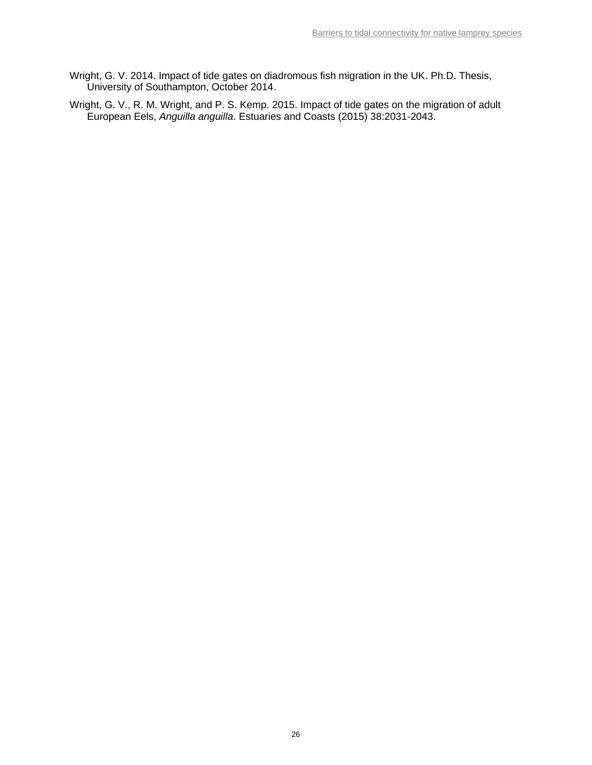- Wright, G. V. 2014. Impact of tide gates on diadromous fish migration in the UK. Ph.D. Thesis, University of Southampton, October 2014.
- Wright, G. V., R. M. Wright, and P. S. Kemp. 2015. Impact of tide gates on the migration of adult European Eels, *Anguilla anguilla*. Estuaries and Coasts (2015) 38:2031-2043.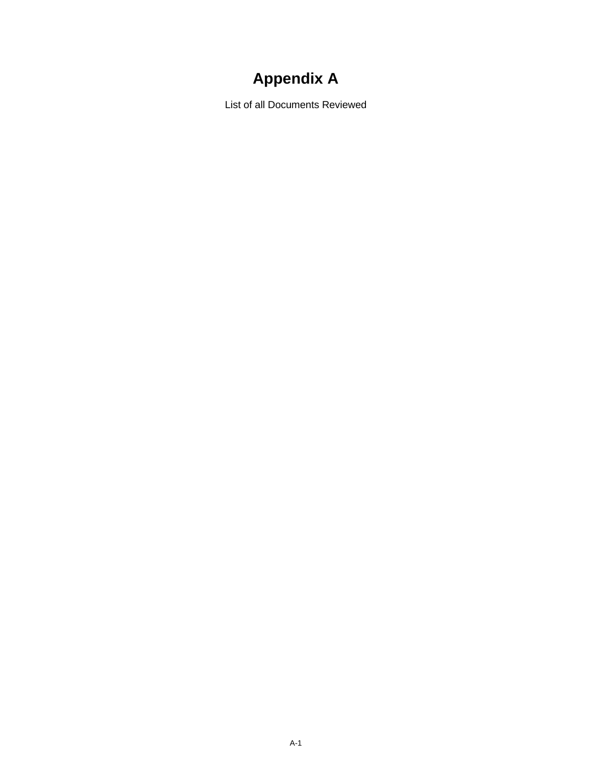# **Appendix A**

<span id="page-30-0"></span>List of all Documents Reviewed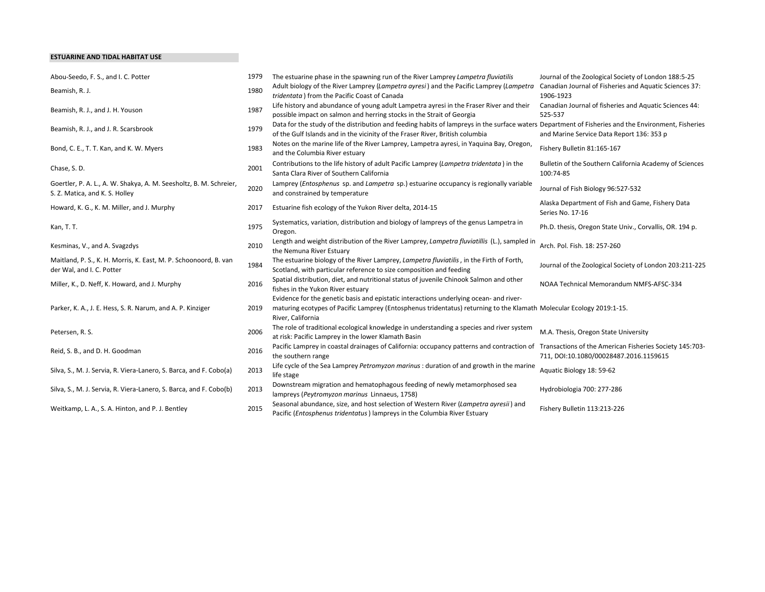#### ESTUARINE AND TIDAL HABITAT USE

| Abou-Seedo, F. S., and I. C. Potter                                                                  | 1979 | The estuarine phase in the spawning run of the River Lamprey Lampetra fluviatilis                                                                                                                                                   | Journal of the Zoological Society of London 188:5-25                                              |
|------------------------------------------------------------------------------------------------------|------|-------------------------------------------------------------------------------------------------------------------------------------------------------------------------------------------------------------------------------------|---------------------------------------------------------------------------------------------------|
| Beamish, R. J.                                                                                       | 1980 | Adult biology of the River Lamprey (Lampetra ayresi) and the Pacific Lamprey (Lampetra<br>tridentata) from the Pacific Coast of Canada                                                                                              | Canadian Journal of Fisheries and Aquatic Sciences 37:<br>1906-1923                               |
| Beamish, R. J., and J. H. Youson                                                                     | 1987 | Life history and abundance of young adult Lampetra ayresi in the Fraser River and their<br>possible impact on salmon and herring stocks in the Strait of Georgia                                                                    | Canadian Journal of fisheries and Aquatic Sciences 44:<br>525-537                                 |
| Beamish, R. J., and J. R. Scarsbrook                                                                 | 1979 | Data for the study of the distribution and feeding habits of lampreys in the surface waters Department of Fisheries and the Environment, Fisheries<br>of the Gulf Islands and in the vicinity of the Fraser River, British columbia | and Marine Service Data Report 136: 353 p                                                         |
| Bond, C. E., T. T. Kan, and K. W. Myers                                                              | 1983 | Notes on the marine life of the River Lamprey, Lampetra ayresi, in Yaquina Bay, Oregon,<br>and the Columbia River estuary                                                                                                           | Fishery Bulletin 81:165-167                                                                       |
| Chase, S.D.                                                                                          | 2001 | Contributions to the life history of adult Pacific Lamprey (Lampetra tridentata) in the<br>Santa Clara River of Southern California                                                                                                 | Bulletin of the Southern California Academy of Sciences<br>100:74-85                              |
| Goertler, P. A. L., A. W. Shakya, A. M. Seesholtz, B. M. Schreier,<br>S. Z. Matica, and K. S. Holley | 2020 | Lamprey (Entosphenus sp. and Lampetra sp.) estuarine occupancy is regionally variable<br>and constrained by temperature                                                                                                             | Journal of Fish Biology 96:527-532                                                                |
| Howard, K. G., K. M. Miller, and J. Murphy                                                           | 2017 | Estuarine fish ecology of the Yukon River delta, 2014-15                                                                                                                                                                            | Alaska Department of Fish and Game, Fishery Data<br>Series No. 17-16                              |
| Kan, T. T.                                                                                           | 1975 | Systematics, variation, distribution and biology of lampreys of the genus Lampetra in<br>Oregon.                                                                                                                                    | Ph.D. thesis, Oregon State Univ., Corvallis, OR. 194 p.                                           |
| Kesminas, V., and A. Svagzdys                                                                        | 2010 | Length and weight distribution of the River Lamprey, Lampetra fluviatillis (L.), sampled in<br>the Nemuna River Estuary                                                                                                             | Arch. Pol. Fish. 18: 257-260                                                                      |
| Maitland, P. S., K. H. Morris, K. East, M. P. Schoonoord, B. van<br>der Wal, and I. C. Potter        | 1984 | The estuarine biology of the River Lamprey, Lampetra fluviatilis, in the Firth of Forth,<br>Scotland, with particular reference to size composition and feeding                                                                     | Journal of the Zoological Society of London 203:211-225                                           |
| Miller, K., D. Neff, K. Howard, and J. Murphy                                                        | 2016 | Spatial distribution, diet, and nutritional status of juvenile Chinook Salmon and other<br>fishes in the Yukon River estuary                                                                                                        | NOAA Technical Memorandum NMFS-AFSC-334                                                           |
| Parker, K. A., J. E. Hess, S. R. Narum, and A. P. Kinziger                                           | 2019 | Evidence for the genetic basis and epistatic interactions underlying ocean- and river-<br>maturing ecotypes of Pacific Lamprey (Entosphenus tridentatus) returning to the Klamath Molecular Ecology 2019:1-15.<br>River, California |                                                                                                   |
| Petersen, R. S.                                                                                      | 2006 | The role of traditional ecological knowledge in understanding a species and river system<br>at risk: Pacific Lamprey in the lower Klamath Basin                                                                                     | M.A. Thesis, Oregon State University                                                              |
| Reid, S. B., and D. H. Goodman                                                                       | 2016 | Pacific Lamprey in coastal drainages of California: occupancy patterns and contraction of<br>the southern range                                                                                                                     | Transactions of the American Fisheries Society 145:703-<br>711, DOI:10.1080/00028487.2016.1159615 |
| Silva, S., M. J. Servia, R. Viera-Lanero, S. Barca, and F. Cobo(a)                                   | 2013 | Life cycle of the Sea Lamprey Petromyzon marinus : duration of and growth in the marine<br>life stage                                                                                                                               | Aquatic Biology 18: 59-62                                                                         |
| Silva, S., M. J. Servia, R. Viera-Lanero, S. Barca, and F. Cobo(b)                                   | 2013 | Downstream migration and hematophagous feeding of newly metamorphosed sea<br>lampreys (Peytromyzon marinus Linnaeus, 1758)                                                                                                          | Hydrobiologia 700: 277-286                                                                        |
| Weitkamp, L. A., S. A. Hinton, and P. J. Bentley                                                     | 2015 | Seasonal abundance, size, and host selection of Western River (Lampetra ayresii) and<br>Pacific (Entosphenus tridentatus) lampreys in the Columbia River Estuary                                                                    | Fishery Bulletin 113:213-226                                                                      |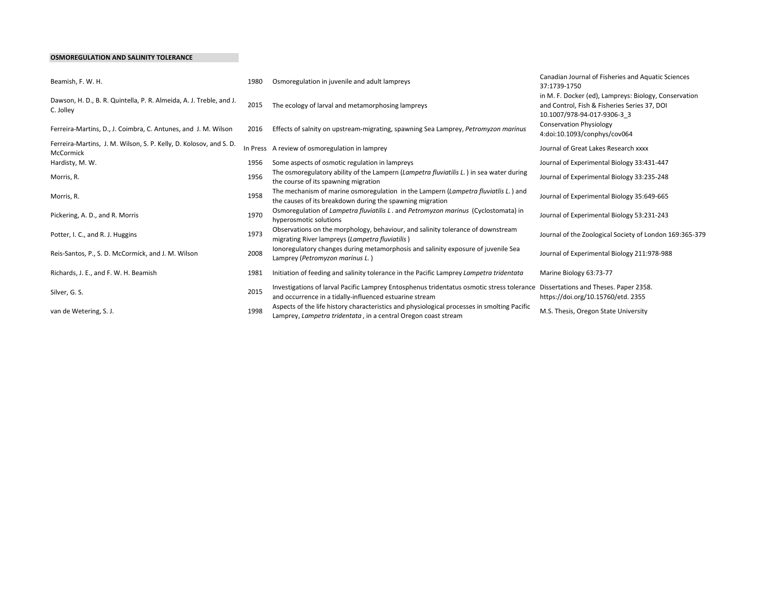#### OSMOREGULATION AND SALINITY TOLERANCE

| Beamish, F. W. H.                                                                | 1980 | Osmoregulation in juvenile and adult lampreys                                                                                                                                              | Canadian Journal of Fisheries and Aquatic Sciences<br>37:1739-1750                                                                   |
|----------------------------------------------------------------------------------|------|--------------------------------------------------------------------------------------------------------------------------------------------------------------------------------------------|--------------------------------------------------------------------------------------------------------------------------------------|
| Dawson, H. D., B. R. Quintella, P. R. Almeida, A. J. Treble, and J.<br>C. Jolley | 2015 | The ecology of larval and metamorphosing lampreys                                                                                                                                          | in M. F. Docker (ed), Lampreys: Biology, Conservation<br>and Control, Fish & Fisheries Series 37, DOI<br>10.1007/978-94-017-9306-3 3 |
| Ferreira-Martins, D., J. Coimbra, C. Antunes, and J. M. Wilson                   | 2016 | Effects of salnity on upstream-migrating, spawning Sea Lamprey, Petromyzon marinus                                                                                                         | <b>Conservation Physiology</b><br>4:doi:10.1093/conphys/cov064                                                                       |
| Ferreira-Martins, J. M. Wilson, S. P. Kelly, D. Kolosov, and S. D.<br>McCormick  |      | In Press A review of osmoregulation in lamprey                                                                                                                                             | Journal of Great Lakes Research xxxx                                                                                                 |
| Hardisty, M. W.                                                                  | 1956 | Some aspects of osmotic regulation in lampreys                                                                                                                                             | Journal of Experimental Biology 33:431-447                                                                                           |
| Morris, R.                                                                       | 1956 | The osmoregulatory ability of the Lampern (Lampetra fluviatilis L.) in sea water during<br>the course of its spawning migration                                                            | Journal of Experimental Biology 33:235-248                                                                                           |
| Morris, R.                                                                       | 1958 | The mechanism of marine osmoregulation in the Lampern (Lampetra fluviatlis L.) and<br>the causes of its breakdown during the spawning migration                                            | Journal of Experimental Biology 35:649-665                                                                                           |
| Pickering, A. D., and R. Morris                                                  | 1970 | Osmoregulation of Lampetra fluviatilis L. and Petromyzon marinus (Cyclostomata) in<br>hyperosmotic solutions                                                                               | Journal of Experimental Biology 53:231-243                                                                                           |
| Potter, I. C., and R. J. Huggins                                                 | 1973 | Observations on the morphology, behaviour, and salinity tolerance of downstream<br>migrating River lampreys (Lampetra fluviatilis)                                                         | Journal of the Zoological Society of London 169:365-379                                                                              |
| Reis-Santos, P., S. D. McCormick, and J. M. Wilson                               | 2008 | Ionoregulatory changes during metamorphosis and salinity exposure of juvenile Sea<br>Lamprey (Petromyzon marinus L.)                                                                       | Journal of Experimental Biology 211:978-988                                                                                          |
| Richards, J. E., and F. W. H. Beamish                                            | 1981 | Initiation of feeding and salinity tolerance in the Pacific Lamprey Lampetra tridentata                                                                                                    | Marine Biology 63:73-77                                                                                                              |
| Silver, G. S.                                                                    | 2015 | Investigations of larval Pacific Lamprey Entosphenus tridentatus osmotic stress tolerance Dissertations and Theses. Paper 2358.<br>and occurrence in a tidally-influenced estuarine stream | https://doi.org/10.15760/etd. 2355                                                                                                   |
| van de Wetering, S. J.                                                           | 1998 | Aspects of the life history characteristics and physiological processes in smolting Pacific<br>Lamprey, Lampetra tridentata, in a central Oregon coast stream                              | M.S. Thesis, Oregon State University                                                                                                 |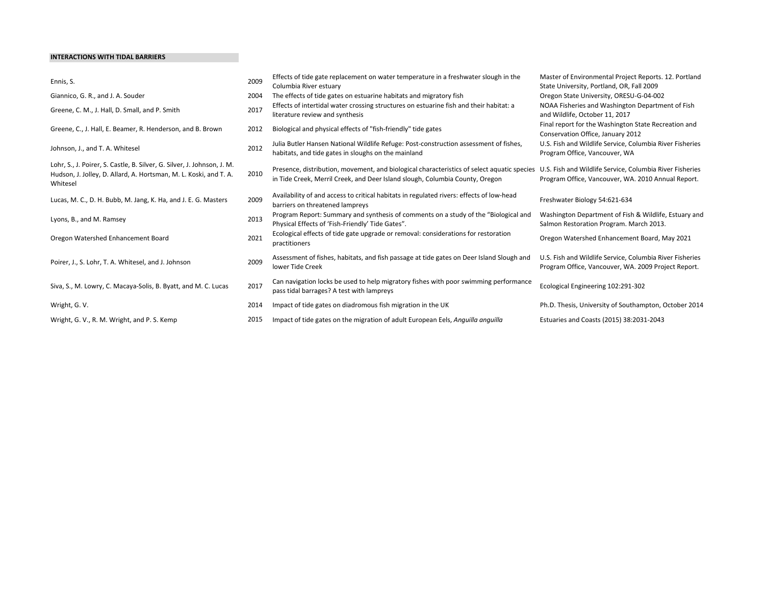#### INTERACTIONS WITH TIDAL BARRIERS

| Ennis, S.                                                                                                                                                | 2009 | Effects of tide gate replacement on water temperature in a freshwater slough in the<br>Columbia River estuary                                                              | Master of Environmental Project Reports. 12. Portland<br>State University, Portland, OR, Fall 2009              |
|----------------------------------------------------------------------------------------------------------------------------------------------------------|------|----------------------------------------------------------------------------------------------------------------------------------------------------------------------------|-----------------------------------------------------------------------------------------------------------------|
| Giannico, G. R., and J. A. Souder                                                                                                                        | 2004 | The effects of tide gates on estuarine habitats and migratory fish                                                                                                         | Oregon State University, ORESU-G-04-002                                                                         |
| Greene, C. M., J. Hall, D. Small, and P. Smith                                                                                                           | 2017 | Effects of intertidal water crossing structures on estuarine fish and their habitat: a<br>literature review and synthesis                                                  | NOAA Fisheries and Washington Department of Fish<br>and Wildlife, October 11, 2017                              |
| Greene, C., J. Hall, E. Beamer, R. Henderson, and B. Brown                                                                                               | 2012 | Biological and physical effects of "fish-friendly" tide gates                                                                                                              | Final report for the Washington State Recreation and<br>Conservation Office, January 2012                       |
| Johnson, J., and T. A. Whitesel                                                                                                                          | 2012 | Julia Butler Hansen National Wildlife Refuge: Post-construction assessment of fishes,<br>habitats, and tide gates in sloughs on the mainland                               | U.S. Fish and Wildlife Service, Columbia River Fisheries<br>Program Office, Vancouver, WA                       |
| Lohr, S., J. Poirer, S. Castle, B. Silver, G. Silver, J. Johnson, J. M.<br>Hudson, J. Jolley, D. Allard, A. Hortsman, M. L. Koski, and T. A.<br>Whitesel | 2010 | Presence, distribution, movement, and biological characteristics of select aquatic species<br>in Tide Creek, Merril Creek, and Deer Island slough, Columbia County, Oregon | U.S. Fish and Wildlife Service, Columbia River Fisheries<br>Program Office, Vancouver, WA. 2010 Annual Report.  |
| Lucas, M. C., D. H. Bubb, M. Jang, K. Ha, and J. E. G. Masters                                                                                           | 2009 | Availability of and access to critical habitats in regulated rivers: effects of low-head<br>barriers on threatened lampreys                                                | Freshwater Biology 54:621-634                                                                                   |
| Lyons, B., and M. Ramsey                                                                                                                                 | 2013 | Program Report: Summary and synthesis of comments on a study of the "Biological and<br>Physical Effects of 'Fish-Friendly' Tide Gates".                                    | Washington Department of Fish & Wildlife, Estuary and<br>Salmon Restoration Program. March 2013.                |
| Oregon Watershed Enhancement Board                                                                                                                       | 2021 | Ecological effects of tide gate upgrade or removal: considerations for restoration<br>practitioners                                                                        | Oregon Watershed Enhancement Board, May 2021                                                                    |
| Poirer, J., S. Lohr, T. A. Whitesel, and J. Johnson                                                                                                      | 2009 | Assessment of fishes, habitats, and fish passage at tide gates on Deer Island Slough and<br>lower Tide Creek                                                               | U.S. Fish and Wildlife Service, Columbia River Fisheries<br>Program Office, Vancouver, WA. 2009 Project Report. |
| Siva, S., M. Lowry, C. Macaya-Solis, B. Byatt, and M. C. Lucas                                                                                           | 2017 | Can navigation locks be used to help migratory fishes with poor swimming performance<br>pass tidal barrages? A test with lampreys                                          | Ecological Engineering 102:291-302                                                                              |
| Wright, G. V.                                                                                                                                            | 2014 | Impact of tide gates on diadromous fish migration in the UK                                                                                                                | Ph.D. Thesis, University of Southampton, October 2014                                                           |
| Wright, G. V., R. M. Wright, and P. S. Kemp                                                                                                              | 2015 | Impact of tide gates on the migration of adult European Eels, Anguilla anguilla                                                                                            | Estuaries and Coasts (2015) 38:2031-2043                                                                        |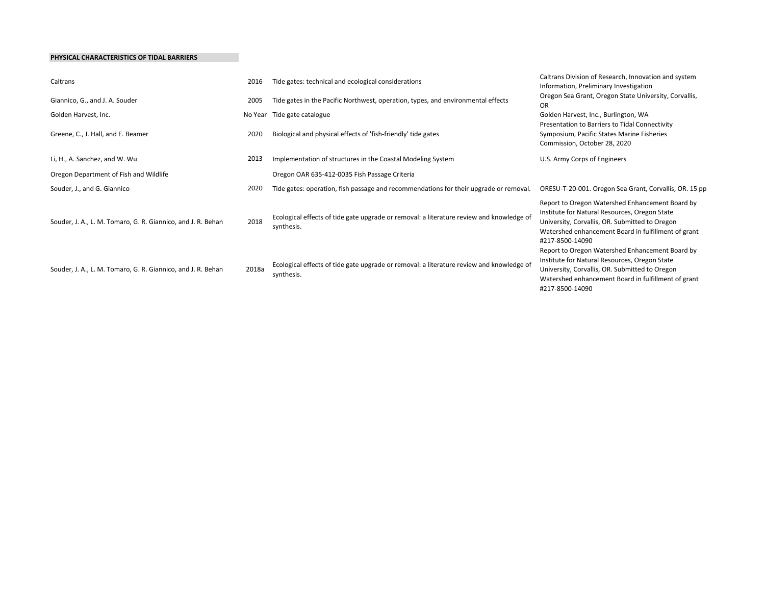#### PHYSICAL CHARACTERISTICS OF TIDAL BARRIERS

| Caltrans                                                     | 2016  | Tide gates: technical and ecological considerations                                                    | Caltrans Division of Research, Innovation and system<br>Information, Preliminary Investigation                                                                                                                               |
|--------------------------------------------------------------|-------|--------------------------------------------------------------------------------------------------------|------------------------------------------------------------------------------------------------------------------------------------------------------------------------------------------------------------------------------|
| Giannico, G., and J. A. Souder                               |       | Tide gates in the Pacific Northwest, operation, types, and environmental effects                       | Oregon Sea Grant, Oregon State University, Corvallis,<br><b>OR</b>                                                                                                                                                           |
| Golden Harvest, Inc.<br>Greene, C., J. Hall, and E. Beamer   |       | No Year Tide gate catalogue<br>Biological and physical effects of 'fish-friendly' tide gates           | Golden Harvest, Inc., Burlington, WA<br>Presentation to Barriers to Tidal Connectivity<br>Symposium, Pacific States Marine Fisheries<br>Commission, October 28, 2020                                                         |
| Li, H., A. Sanchez, and W. Wu                                | 2013  | Implementation of structures in the Coastal Modeling System                                            | U.S. Army Corps of Engineers                                                                                                                                                                                                 |
| Oregon Department of Fish and Wildlife                       |       | Oregon OAR 635-412-0035 Fish Passage Criteria                                                          |                                                                                                                                                                                                                              |
| Souder, J., and G. Giannico                                  | 2020  | Tide gates: operation, fish passage and recommendations for their upgrade or removal.                  | ORESU-T-20-001. Oregon Sea Grant, Corvallis, OR. 15 pp                                                                                                                                                                       |
| Souder, J. A., L. M. Tomaro, G. R. Giannico, and J. R. Behan | 2018  | Ecological effects of tide gate upgrade or removal: a literature review and knowledge of<br>synthesis. | Report to Oregon Watershed Enhancement Board by<br>Institute for Natural Resources, Oregon State<br>University, Corvallis, OR. Submitted to Oregon<br>Watershed enhancement Board in fulfillment of grant<br>#217-8500-14090 |
| Souder, J. A., L. M. Tomaro, G. R. Giannico, and J. R. Behan | 2018a | Ecological effects of tide gate upgrade or removal: a literature review and knowledge of<br>synthesis. | Report to Oregon Watershed Enhancement Board by<br>Institute for Natural Resources, Oregon State<br>University, Corvallis, OR. Submitted to Oregon<br>Watershed enhancement Board in fulfillment of grant<br>#217-8500-14090 |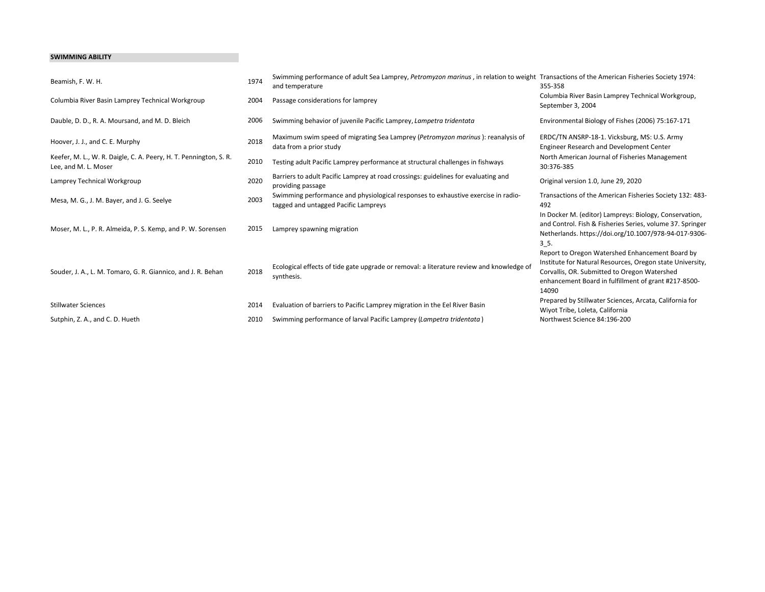#### SWIMMING ABILITY

| Beamish, F. W. H.                                                                         | 1974 | Swimming performance of adult Sea Lamprey, Petromyzon marinus, in relation to weight Transactions of the American Fisheries Society 1974:<br>and temperature | 355-358                                                                                                                                                                                                                       |
|-------------------------------------------------------------------------------------------|------|--------------------------------------------------------------------------------------------------------------------------------------------------------------|-------------------------------------------------------------------------------------------------------------------------------------------------------------------------------------------------------------------------------|
| Columbia River Basin Lamprey Technical Workgroup                                          | 2004 | Passage considerations for lamprey                                                                                                                           | Columbia River Basin Lamprey Technical Workgroup,<br>September 3, 2004                                                                                                                                                        |
| Dauble, D. D., R. A. Moursand, and M. D. Bleich                                           | 2006 | Swimming behavior of juvenile Pacific Lamprey, Lampetra tridentata                                                                                           | Environmental Biology of Fishes (2006) 75:167-171                                                                                                                                                                             |
| Hoover, J. J., and C. E. Murphy                                                           | 2018 | Maximum swim speed of migrating Sea Lamprey (Petromyzon marinus): reanalysis of<br>data from a prior study                                                   | ERDC/TN ANSRP-18-1. Vicksburg, MS: U.S. Army<br>Engineer Research and Development Center                                                                                                                                      |
| Keefer, M. L., W. R. Daigle, C. A. Peery, H. T. Pennington, S. R.<br>Lee, and M. L. Moser | 2010 | Testing adult Pacific Lamprey performance at structural challenges in fishways                                                                               | North American Journal of Fisheries Management<br>30:376-385                                                                                                                                                                  |
| Lamprey Technical Workgroup                                                               | 2020 | Barriers to adult Pacific Lamprey at road crossings: guidelines for evaluating and<br>providing passage                                                      | Original version 1.0, June 29, 2020                                                                                                                                                                                           |
| Mesa, M. G., J. M. Bayer, and J. G. Seelye                                                | 2003 | Swimming performance and physiological responses to exhaustive exercise in radio-<br>tagged and untagged Pacific Lampreys                                    | Transactions of the American Fisheries Society 132: 483-<br>492                                                                                                                                                               |
| Moser, M. L., P. R. Almeida, P. S. Kemp, and P. W. Sorensen                               | 2015 | Lamprey spawning migration                                                                                                                                   | In Docker M. (editor) Lampreys: Biology, Conservation,<br>and Control. Fish & Fisheries Series, volume 37. Springer<br>Netherlands. https://doi.org/10.1007/978-94-017-9306-<br>$3-5$                                         |
| Souder, J. A., L. M. Tomaro, G. R. Giannico, and J. R. Behan                              | 2018 | Ecological effects of tide gate upgrade or removal: a literature review and knowledge of<br>synthesis.                                                       | Report to Oregon Watershed Enhancement Board by<br>Institute for Natural Resources, Oregon state University,<br>Corvallis, OR. Submitted to Oregon Watershed<br>enhancement Board in fulfillment of grant #217-8500-<br>14090 |
| <b>Stillwater Sciences</b>                                                                | 2014 | Evaluation of barriers to Pacific Lamprey migration in the Eel River Basin                                                                                   | Prepared by Stillwater Sciences, Arcata, California for<br>Wiyot Tribe, Loleta, California                                                                                                                                    |
| Sutphin, Z. A., and C. D. Hueth                                                           | 2010 | Swimming performance of larval Pacific Lamprey (Lampetra tridentata)                                                                                         | Northwest Science 84:196-200                                                                                                                                                                                                  |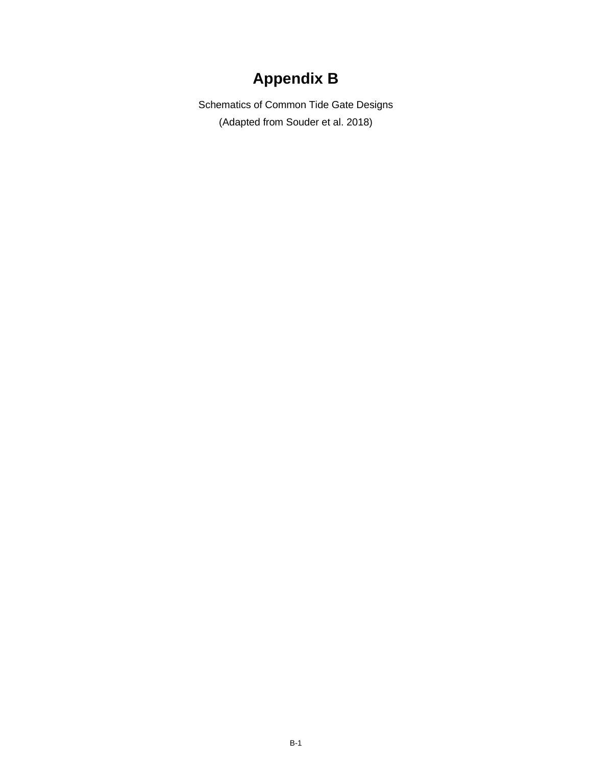# **Appendix B**

<span id="page-36-0"></span>Schematics of Common Tide Gate Designs (Adapted from Souder et al. 2018)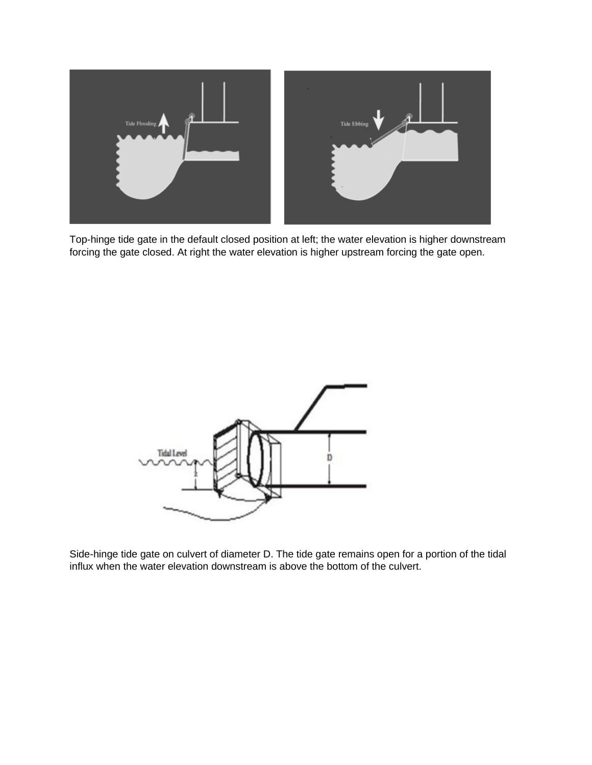

Top-hinge tide gate in the default closed position at left; the water elevation is higher downstream forcing the gate closed. At right the water elevation is higher upstream forcing the gate open.



Side-hinge tide gate on culvert of diameter D. The tide gate remains open for a portion of the tidal influx when the water elevation downstream is above the bottom of the culvert.